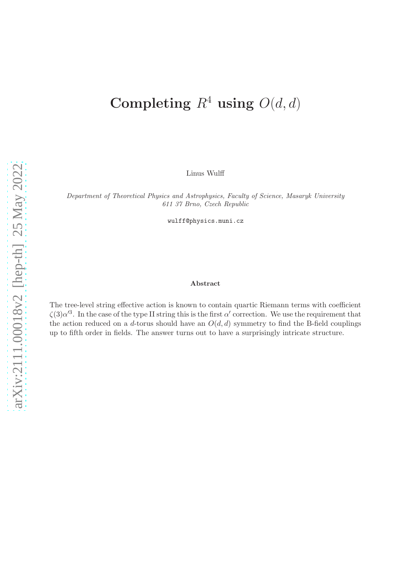# Completing  $R^4$  using  $O(d, d)$

Linus Wulff

Department of Theoretical Physics and Astrophysics, Faculty of Science, Masaryk University 611 37 Brno, Czech Republic

wulff@physics.muni.cz

#### Abstract

The tree-level string effective action is known to contain quartic Riemann terms with coefficient  $\zeta(3)\alpha'^3$ . In the case of the type II string this is the first  $\alpha'$  correction. We use the requirement that the action reduced on a d-torus should have an  $O(d, d)$  symmetry to find the B-field couplings up to fifth order in fields. The answer turns out to have a surprisingly intricate structure.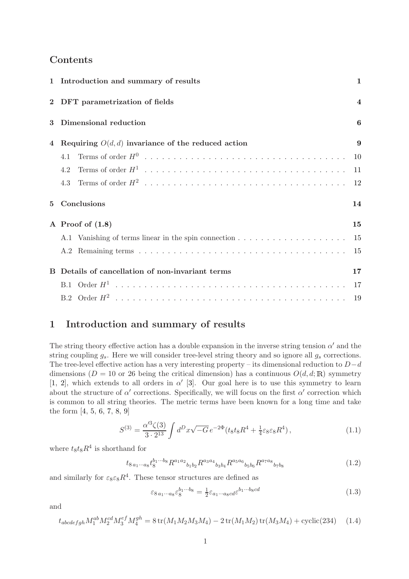## Contents

|                | 1 Introduction and summary of results                |    |  |  |
|----------------|------------------------------------------------------|----|--|--|
|                | 2 DFT parametrization of fields                      |    |  |  |
|                | Dimensional reduction                                |    |  |  |
| $\overline{4}$ | Requiring $O(d, d)$ invariance of the reduced action | 9  |  |  |
|                | 4.1                                                  | 10 |  |  |
|                | 4.2                                                  | 11 |  |  |
|                | 4.3                                                  | 12 |  |  |
| 5              | Conclusions                                          |    |  |  |
|                | A Proof of $(1.8)$                                   | 15 |  |  |
|                |                                                      | 15 |  |  |
|                |                                                      | 15 |  |  |
|                | B Details of cancellation of non-invariant terms     | 17 |  |  |
|                |                                                      |    |  |  |
|                |                                                      | 19 |  |  |

# <span id="page-1-0"></span>1 Introduction and summary of results

The string theory effective action has a double expansion in the inverse string tension  $\alpha'$  and the string coupling  $g_s$ . Here we will consider tree-level string theory and so ignore all  $g_s$  corrections. The tree-level effective action has a very interesting property – its dimensional reduction to  $D-d$ dimensions ( $D = 10$  or 26 being the critical dimension) has a continuous  $O(d, d; \mathbb{R})$  symmetry [\[1,](#page-21-0) [2\]](#page-21-1), which extends to all orders in  $\alpha'$  [\[3\]](#page-21-2). Our goal here is to use this symmetry to learn about the structure of  $\alpha'$  corrections. Specifically, we will focus on the first  $\alpha'$  correction which is common to all string theories. The metric terms have been known for a long time and take the form [\[4,](#page-21-3) [5,](#page-21-4) [6,](#page-21-5) [7,](#page-21-6) [8,](#page-21-7) [9\]](#page-21-8)

<span id="page-1-1"></span>
$$
S^{(3)} = \frac{\alpha'^3 \zeta(3)}{3 \cdot 2^{13}} \int d^D x \sqrt{-G} e^{-2\Phi} (t_8 t_8 R^4 + \frac{1}{4} \varepsilon_8 \varepsilon_8 R^4), \qquad (1.1)
$$

where  $t_8t_8R^4$  is shorthand for

$$
t_{8\,a_1\cdots a_8} t_8^{b_1\cdots b_8} R^{a_1 a_2}{}_{b_1 b_2} R^{a_3 a_4}{}_{b_3 b_4} R^{a_5 a_6}{}_{b_5 b_6} R^{a_7 a_8}{}_{b_7 b_8} \tag{1.2}
$$

and similarly for  $\varepsilon_8 \varepsilon_8 R^4$ . These tensor structures are defined as

$$
\varepsilon_{8\,a_1\cdots a_8} \varepsilon_8^{b_1\cdots b_8} = \frac{1}{2} \varepsilon_{a_1\cdots a_8cd} \varepsilon^{b_1\cdots b_8cd} \tag{1.3}
$$

and

<span id="page-1-2"></span>
$$
t_{abcdefgh}M_1^{ab}M_2^{cd}M_3^{ef}M_4^{gh} = 8\operatorname{tr}(M_1M_2M_3M_4) - 2\operatorname{tr}(M_1M_2)\operatorname{tr}(M_3M_4) + \operatorname{cyclic}(234)
$$
 (1.4)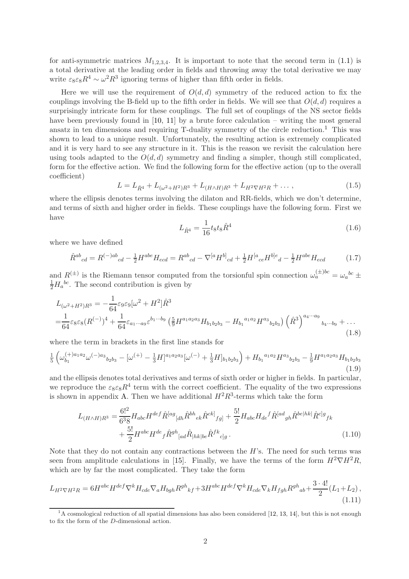for anti-symmetric matrices  $M_{1,2,3,4}$ . It is important to note that the second term in [\(1.1\)](#page-1-1) is a total derivative at the leading order in fields and throwing away the total derivative we may write  $\varepsilon_8 \varepsilon_8 R^4 \sim \omega^2 R^3$  ignoring terms of higher than fifth order in fields.

Here we will use the requirement of  $O(d, d)$  symmetry of the reduced action to fix the couplings involving the B-field up to the fifth order in fields. We will see that  $O(d, d)$  requires a surprisingly intricate form for these couplings. The full set of couplings of the NS sector fields have been previously found in [\[10,](#page-21-9) [11\]](#page-21-10) by a brute force calculation – writing the most general ansatz in ten dimensions and requiring  $T$ -duality symmetry of the circle reduction.<sup>[1](#page-2-1)</sup> This was shown to lead to a unique result. Unfortunately, the resulting action is extremely complicated and it is very hard to see any structure in it. This is the reason we revisit the calculation here using tools adapted to the  $O(d, d)$  symmetry and finding a simpler, though still complicated, form for the effective action. We find the following form for the effective action (up to the overall coefficient)

$$
L = L_{\hat{R}^4} + L_{(\omega^2 + H^2)R^3} + L_{(H \wedge H)R^3} + L_{H^2 \nabla H^2 R} + \dots, \tag{1.5}
$$

where the ellipsis denotes terms involving the dilaton and RR-fields, which we don't determine, and terms of sixth and higher order in fields. These couplings have the following form. First we have

$$
L_{\hat{R}^4} = \frac{1}{16} t_8 t_8 \hat{R}^4 \tag{1.6}
$$

where we have defined

$$
\hat{R}^{ab}{}_{cd} = R^{(-)ab}{}_{cd} - \frac{1}{2}H^{abe}H_{ecd} = R^{ab}{}_{cd} - \nabla^{[a}H^{b]}{}_{cd} + \frac{1}{2}H^{[a}{}_{ce}H^{b]e}{}_{d} - \frac{1}{2}H^{abe}H_{ecd} \tag{1.7}
$$

and  $R^{(\pm)}$  is the Riemann tensor computed from the torsionful spin connection  $\omega_a^{(\pm)bc} = \omega_a^{bc} \pm$  $\frac{1}{2}H_a{}^{bc}$ . The second contribution is given by

<span id="page-2-0"></span>
$$
L_{(\omega^2 + H^2)R^3} = -\frac{1}{64} \varepsilon_9 \varepsilon_9 [\omega^2 + H^2] \hat{R}^3
$$
  
=  $\frac{1}{64} \varepsilon_8 \varepsilon_8 (R^{(-)})^4 + \frac{1}{64} \varepsilon_{a_1 \cdots a_9} \varepsilon^{b_1 \cdots b_9} \left( \frac{5}{9} H^{a_1 a_2 a_3} H_{b_1 b_2 b_3} - H_{b_1}{}^{a_1 a_2} H^{a_3}{}_{b_2 b_3} \right) \left( \hat{R}^3 \right)^{a_4 \cdots a_9} {}_{b_4 \cdots b_9} + \cdots$  (1.8)

where the term in brackets in the first line stands for

$$
\frac{1}{5}\left(\omega_{b_1}^{(+)a_1a_2}\omega^{(-)a_3}{}_{b_2b_3} - [\omega^{(+)} - \frac{1}{3}H]^{a_1a_2a_3}[\omega^{(-)} + \frac{1}{3}H]_{b_1b_2b_3}\right) + H_{b_1}{}^{a_1a_2}H^{a_3}{}_{b_2b_3} - \frac{1}{9}H^{a_1a_2a_3}H_{b_1b_2b_3}\tag{1.9}
$$

and the ellipsis denotes total derivatives and terms of sixth order or higher in fields. In particular, we reproduce the  $\varepsilon_8 \varepsilon_8 R^4$  term with the correct coefficient. The equality of the two expressions is shown in appendix [A.](#page-15-0) Then we have additional  $H^2R^3$ -terms which take the form

<span id="page-2-2"></span>
$$
L_{(H \wedge H)R^3} = \frac{6!^2}{6^3 8} H_{abc} H^{def} \hat{R}^{[ag}_{[dh} \hat{R}^{bh}_{ek} \hat{R}^{ck]}_{fg]} + \frac{5!}{2} H_{abc} H_{de}{}^f \hat{R}^{[ad}_{gh} \hat{R}^{bel}{}^{hk} |\hat{R}^{c]g}_{fk} + \frac{5!}{2} H^{abc} H^{de}_{f} \hat{R}^{gh}_{[ad} \hat{R}^{h}{}_{[hk]be} \hat{R}^{fk}_{c]g}.
$$
 (1.10)

Note that they do not contain any contractions between the  $H$ 's. The need for such terms was seen from amplitude calculations in [\[15\]](#page-21-11). Finally, we have the terms of the form  $H^2 \nabla H^2 R$ , which are by far the most complicated. They take the form

<span id="page-2-3"></span>
$$
L_{H^2 \nabla H^2 R} = 6H^{abc} H^{def} \nabla^k H_{cde} \nabla_a H_{bgh} R^{gh}{}_{kf} + 3H^{abc} H^{def} \nabla^k H_{cde} \nabla_k H_{fgh} R^{gh}{}_{ab} + \frac{3 \cdot 4!}{2} (L_1 + L_2),
$$
\n(1.11)

<span id="page-2-1"></span> $1_A$  cosmological reduction of all spatial dimensions has also been considered [\[12,](#page-21-12) [13,](#page-21-13) [14\]](#page-21-14), but this is not enough to fix the form of the D-dimensional action.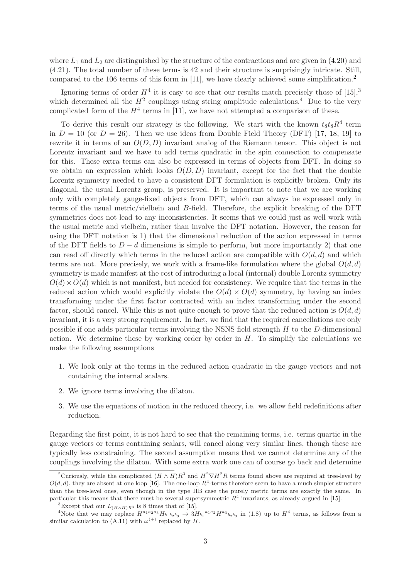where  $L_1$  and  $L_2$  are distinguished by the structure of the contractions and are given in [\(4.20\)](#page-13-0) and [\(4.21\)](#page-13-1). The total number of these terms is 42 and their structure is surprisingly intricate. Still, compared to the 106 terms of this form in [\[11\]](#page-21-10), we have clearly achieved some simplification.[2](#page-3-0)

Ignoring terms of order  $H^4$  it is easy to see that our results match precisely those of  $[15]$ ,<sup>[3](#page-3-1)</sup> which determined all the  $H^2$  couplings using string amplitude calculations.<sup>[4](#page-3-2)</sup> Due to the very complicated form of the  $H^4$  terms in [\[11\]](#page-21-10), we have not attempted a comparison of these.

To derive this result our strategy is the following. We start with the known  $t_8t_8R^4$  term in  $D = 10$  (or  $D = 26$ ). Then we use ideas from Double Field Theory (DFT) [\[17,](#page-22-0) [18,](#page-22-1) [19\]](#page-22-2) to rewrite it in terms of an  $O(D, D)$  invariant analog of the Riemann tensor. This object is not Lorentz invariant and we have to add terms quadratic in the spin connection to compensate for this. These extra terms can also be expressed in terms of objects from DFT. In doing so we obtain an expression which looks  $O(D, D)$  invariant, except for the fact that the double Lorentz symmetry needed to have a consistent DFT formulation is explicitly broken. Only its diagonal, the usual Lorentz group, is preserved. It is important to note that we are working only with completely gauge-fixed objects from DFT, which can always be expressed only in terms of the usual metric/vielbein and B-field. Therefore, the explicit breaking of the DFT symmetries does not lead to any inconsistencies. It seems that we could just as well work with the usual metric and vielbein, rather than involve the DFT notation. However, the reason for using the DFT notation is 1) that the dimensional reduction of the action expressed in terms of the DFT fields to  $D - d$  dimensions is simple to perform, but more importantly 2) that one can read off directly which terms in the reduced action are compatible with  $O(d, d)$  and which terms are not. More precisely, we work with a frame-like formulation where the global  $O(d, d)$ symmetry is made manifest at the cost of introducing a local (internal) double Lorentz symmetry  $O(d) \times O(d)$  which is not manifest, but needed for consistency. We require that the terms in the reduced action which would explicitly violate the  $O(d) \times O(d)$  symmetry, by having an index transforming under the first factor contracted with an index transforming under the second factor, should cancel. While this is not quite enough to prove that the reduced action is  $O(d, d)$ invariant, it is a very strong requirement. In fact, we find that the required cancellations are only possible if one adds particular terms involving the NSNS field strength H to the D-dimensional action. We determine these by working order by order in  $H$ . To simplify the calculations we make the following assumptions

- 1. We look only at the terms in the reduced action quadratic in the gauge vectors and not containing the internal scalars.
- 2. We ignore terms involving the dilaton.
- 3. We use the equations of motion in the reduced theory, i.e. we allow field redefinitions after reduction.

Regarding the first point, it is not hard to see that the remaining terms, i.e. terms quartic in the gauge vectors or terms containing scalars, will cancel along very similar lines, though these are typically less constraining. The second assumption means that we cannot determine any of the couplings involving the dilaton. With some extra work one can of course go back and determine

<span id="page-3-0"></span><sup>&</sup>lt;sup>2</sup>Curiously, while the complicated  $(H \wedge H)R^3$  and  $H^2 \nabla H^2 R$  terms found above are required at tree-level by  $O(d, d)$ , they are absent at one loop [\[16\]](#page-21-15). The one-loop  $R^4$ -terms therefore seem to have a much simpler structure than the tree-level ones, even though in the type IIB case the purely metric terms are exactly the same. In particular this means that there must be several supersymmetric  $R<sup>4</sup>$  invariants, as already argued in [\[15\]](#page-21-11).

<span id="page-3-1"></span><sup>&</sup>lt;sup>3</sup>Except that our  $L_{(H\wedge H)R^3}$  is 8 times that of [\[15\]](#page-21-11).

<span id="page-3-2"></span>Note that we may replace  $H^{a_1a_2a_3}H_{b_1b_2b_3} \rightarrow 3H_{b_1}^{a_1a_2}H^{a_3}{}_{b_2b_3}$  in [\(1.8\)](#page-2-0) up to  $H^4$  terms, as follows from a similar calculation to [\(A.11\)](#page-17-2) with  $\omega^{(+)}$  replaced by H.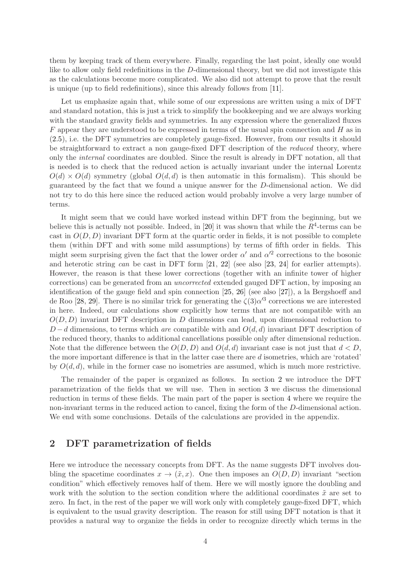them by keeping track of them everywhere. Finally, regarding the last point, ideally one would like to allow only field redefinitions in the D-dimensional theory, but we did not investigate this as the calculations become more complicated. We also did not attempt to prove that the result is unique (up to field redefinitions), since this already follows from [\[11\]](#page-21-10).

Let us emphasize again that, while some of our expressions are written using a mix of DFT and standard notation, this is just a trick to simplify the bookkeeping and we are always working with the standard gravity fields and symmetries. In any expression where the generalized fluxes  $F$  appear they are understood to be expressed in terms of the usual spin connection and  $H$  as in [\(2.5\)](#page-5-0), i.e. the DFT symmetries are completely gauge-fixed. However, from our results it should be straightforward to extract a non gauge-fixed DFT description of the reduced theory, where only the internal coordinates are doubled. Since the result is already in DFT notation, all that is needed is to check that the reduced action is actually invariant under the internal Lorentz  $O(d) \times O(d)$  symmetry (global  $O(d, d)$ ) is then automatic in this formalism). This should be guaranteed by the fact that we found a unique answer for the D-dimensional action. We did not try to do this here since the reduced action would probably involve a very large number of terms.

It might seem that we could have worked instead within DFT from the beginning, but we believe this is actually not possible. Indeed, in [\[20\]](#page-22-3) it was shown that while the  $R^4$ -terms can be cast in  $O(D, D)$  invariant DFT form at the quartic order in fields, it is not possible to complete them (within DFT and with some mild assumptions) by terms of fifth order in fields. This might seem surprising given the fact that the lower order  $\alpha'$  and  $\alpha'^2$  corrections to the bosonic and heterotic string can be cast in DFT form [\[21,](#page-22-4) [22\]](#page-22-5) (see also [\[23,](#page-22-6) [24\]](#page-22-7) for earlier attempts). However, the reason is that these lower corrections (together with an infinite tower of higher corrections) can be generated from an uncorrected extended gauged DFT action, by imposing an identification of the gauge field and spin connection [\[25,](#page-22-8) [26\]](#page-22-9) (see also [\[27\]](#page-22-10)), a la Bergshoeff and de Roo [\[28,](#page-22-11) [29\]](#page-22-12). There is no similar trick for generating the  $\zeta(3)\alpha'^3$  corrections we are interested in here. Indeed, our calculations show explicitly how terms that are not compatible with an  $O(D, D)$  invariant DFT description in D dimensions can lead, upon dimensional reduction to  $D - d$  dimensions, to terms which are compatible with and  $O(d, d)$  invariant DFT description of the reduced theory, thanks to additional cancellations possible only after dimensional reduction. Note that the difference between the  $O(D, D)$  and  $O(d, d)$  invariant case is not just that  $d < D$ , the more important difference is that in the latter case there are d isometries, which are 'rotated' by  $O(d, d)$ , while in the former case no isometries are assumed, which is much more restrictive.

The remainder of the paper is organized as follows. In section [2](#page-4-0) we introduce the DFT parametrization of the fields that we will use. Then in section [3](#page-6-0) we discuss the dimensional reduction in terms of these fields. The main part of the paper is section [4](#page-9-0) where we require the non-invariant terms in the reduced action to cancel, fixing the form of the D-dimensional action. We end with some conclusions. Details of the calculations are provided in the appendix.

#### <span id="page-4-0"></span>2 DFT parametrization of fields

Here we introduce the necessary concepts from DFT. As the name suggests DFT involves doubling the spacetime coordinates  $x \to (\tilde{x}, x)$ . One then imposes an  $O(D, D)$  invariant "section" condition" which effectively removes half of them. Here we will mostly ignore the doubling and work with the solution to the section condition where the additional coordinates  $\tilde{x}$  are set to zero. In fact, in the rest of the paper we will work only with completely gauge-fixed DFT, which is equivalent to the usual gravity description. The reason for still using DFT notation is that it provides a natural way to organize the fields in order to recognize directly which terms in the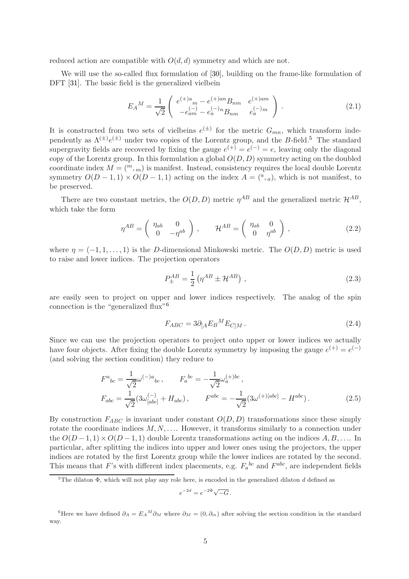reduced action are compatible with  $O(d, d)$  symmetry and which are not.

We will use the so-called flux formulation of [\[30\]](#page-22-13), building on the frame-like formulation of DFT [\[31\]](#page-22-14). The basic field is the generalized vielbein

$$
E_A{}^M = \frac{1}{\sqrt{2}} \begin{pmatrix} e^{(+)a}{}_m - e^{(+)an} B_{nm} & e^{(+)am} \\ -e^{(-)}_{am} - e^{(-)}_a B_{nm} & e^{(-)}_a{}^m \end{pmatrix} . \tag{2.1}
$$

It is constructed from two sets of vielbeins  $e^{(\pm)}$  for the metric  $G_{mn}$ , which transform independently as  $\Lambda^{(\pm)}e^{(\pm)}$  under two copies of the Lorentz group, and the B-field.<sup>[5](#page-5-1)</sup> The standard supergravity fields are recovered by fixing the gauge  $e^{(+)} = e^{(-)} = e$ , leaving only the diagonal copy of the Lorentz group. In this formulation a global  $O(D, D)$  symmetry acting on the doubled coordinate index  $M = \binom{m}{m}$  is manifest. Instead, consistency requires the local double Lorentz symmetry  $O(D-1,1) \times O(D-1,1)$  acting on the index  $A = (a, a)$ , which is not manifest, to be preserved.

There are two constant metrics, the  $O(D, D)$  metric  $\eta^{AB}$  and the generalized metric  $\mathcal{H}^{AB}$ , which take the form

$$
\eta^{AB} = \begin{pmatrix} \eta_{ab} & 0 \\ 0 & -\eta^{ab} \end{pmatrix}, \qquad \mathcal{H}^{AB} = \begin{pmatrix} \eta_{ab} & 0 \\ 0 & \eta^{ab} \end{pmatrix}, \tag{2.2}
$$

where  $\eta = (-1, 1, \ldots, 1)$  is the D-dimensional Minkowski metric. The  $O(D, D)$  metric is used to raise and lower indices. The projection operators

$$
P_{\pm}^{AB} = \frac{1}{2} \left( \eta^{AB} \pm \mathcal{H}^{AB} \right) , \qquad (2.3)
$$

are easily seen to project on upper and lower indices respectively. The analog of the spin connection is the "generalized flux"[6](#page-5-2)

$$
F_{ABC} = 3\partial_{[A}E_B{}^M E_{C]M} \,. \tag{2.4}
$$

Since we can use the projection operators to project onto upper or lower indices we actually have four objects. After fixing the double Lorentz symmetry by imposing the gauge  $e^{(+)} = e^{(-)}$ (and solving the section condition) they reduce to

$$
F^{a}{}_{bc} = \frac{1}{\sqrt{2}} \omega^{(-)a}{}_{bc} , \qquad F_{a}{}^{bc} = -\frac{1}{\sqrt{2}} \omega^{(+)bc}_{a} ,
$$
  
\n
$$
F_{abc} = \frac{1}{\sqrt{2}} (3\omega^{(-)}_{[abc]} + H_{abc}) , \qquad F^{abc} = -\frac{1}{\sqrt{2}} (3\omega^{(+)[abc]} - H^{abc}) .
$$
\n(2.5)

By construction  $F_{ABC}$  is invariant under constant  $O(D, D)$  transformations since these simply rotate the coordinate indices  $M, N, \ldots$ . However, it transforms similarly to a connection under the  $O(D-1,1) \times O(D-1,1)$  double Lorentz transformations acting on the indices  $A, B, \ldots$  In particular, after splitting the indices into upper and lower ones using the projectors, the upper indices are rotated by the first Lorentz group while the lower indices are rotated by the second. This means that F's with different index placements, e.g.  $F_a{}^{bc}$  and  $F^{abc}$ , are independent fields

<span id="page-5-0"></span>
$$
e^{-2d} = e^{-2\Phi} \sqrt{-G} \, .
$$

<span id="page-5-1"></span><sup>&</sup>lt;sup>5</sup>The dilaton  $\Phi$ , which will not play any role here, is encoded in the generalized dilaton d defined as

<span id="page-5-2"></span><sup>&</sup>lt;sup>6</sup>Here we have defined  $\partial_A = E_A{}^M \partial_M$  where  $\partial_M = (0, \partial_m)$  after solving the section condition in the standard way.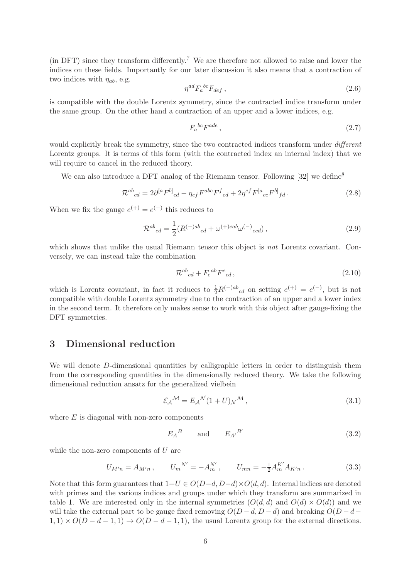(in DFT) since they transform differently.[7](#page-7-0) We are therefore not allowed to raise and lower the indices on these fields. Importantly for our later discussion it also means that a contraction of two indices with  $\eta_{ab}$ , e.g.

$$
\eta^{ad} F_a{}^{bc} F_{def} \,,\tag{2.6}
$$

is compatible with the double Lorentz symmetry, since the contracted indice transform under the same group. On the other hand a contraction of an upper and a lower indices, e.g.

$$
F_a{}^{bc}F^{ade}\,,\tag{2.7}
$$

would explicitly break the symmetry, since the two contracted indices transform under *different* Lorentz groups. It is terms of this form (with the contracted index an internal index) that we will require to cancel in the reduced theory.

We can also introduce a DFT analog of the Riemann tensor. Following [\[32\]](#page-22-15) we define<sup>[8](#page-7-1)</sup>

<span id="page-6-2"></span>
$$
\mathcal{R}^{ab}{}_{cd} = 2\partial^{[a}F^{b]}{}_{cd} - \eta_{ef}F^{abe}F^{f}{}_{cd} + 2\eta^{ef}F^{[a}{}_{ce}F^{b]}{}_{fd} \,. \tag{2.8}
$$

When we fix the gauge  $e^{(+)} = e^{(-)}$  this reduces to

$$
\mathcal{R}^{ab}{}_{cd} = \frac{1}{2} (R^{(-)ab}{}_{cd} + \omega^{(+)eab} \omega^{(-)}{}_{ecd}), \qquad (2.9)
$$

which shows that unlike the usual Riemann tensor this object is *not* Lorentz covariant. Conversely, we can instead take the combination

<span id="page-6-1"></span>
$$
\mathcal{R}^{ab}_{cd} + F_e^{ab} F^e_{cd} \,, \tag{2.10}
$$

which is Lorentz covariant, in fact it reduces to  $\frac{1}{2}R^{(-)ab}{}_{cd}$  on setting  $e^{(+)} = e^{(-)}$ , but is not compatible with double Lorentz symmetry due to the contraction of an upper and a lower index in the second term. It therefore only makes sense to work with this object after gauge-fixing the DFT symmetries.

#### <span id="page-6-0"></span>3 Dimensional reduction

We will denote D-dimensional quantities by calligraphic letters in order to distinguish them from the corresponding quantities in the dimensionally reduced theory. We take the following dimensional reduction ansatz for the generalized vielbein

$$
\mathcal{E}_{\mathcal{A}}{}^{\mathcal{M}} = E_{\mathcal{A}}{}^{\mathcal{N}} (1+U) \mathcal{N}^{\mathcal{M}},\tag{3.1}
$$

where  $E$  is diagonal with non-zero components

$$
E_A{}^B \qquad \text{and} \qquad E_{A'}{}^{B'} \tag{3.2}
$$

while the non-zero components of  $U$  are

$$
U_{M'n} = A_{M'n} , \qquad U_m{}^{N'} = -A_m^{N'} , \qquad U_{mn} = -\frac{1}{2} A_m^{K'} A_{K'n} . \tag{3.3}
$$

Note that this form guarantees that  $1+U \in O(D-d, D-d) \times O(d, d)$ . Internal indices are denoted with primes and the various indices and groups under which they transform are summarized in table [1.](#page-7-2) We are interested only in the internal symmetries  $(O(d, d)$  and  $O(d) \times O(d))$  and we will take the external part to be gauge fixed removing  $O(D - d, D - d)$  and breaking  $O(D - d - d)$  $1, 1) \times O(D - d - 1, 1) \rightarrow O(D - d - 1, 1)$ , the usual Lorentz group for the external directions.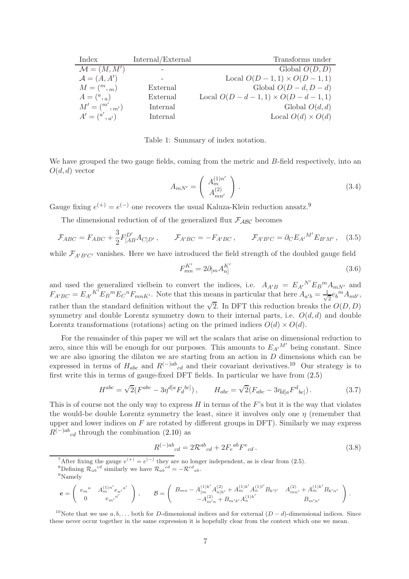| Index                   | Internal/External | Transforms under                               |
|-------------------------|-------------------|------------------------------------------------|
| $\mathcal{M} = (M, M')$ |                   | Global $O(D, D)$                               |
| $\mathcal{A} = (A, A')$ |                   | Local $O(D - 1, 1) \times O(D - 1, 1)$         |
| $M = \binom{m}{m}$      | External          | Global $O(D-d, D-d)$                           |
| $A = ({}^a,{}_a)$       | External          | Local $O(D - d - 1, 1) \times O(D - d - 1, 1)$ |
| $M' = {m',m'}$          | Internal          | Global $O(d,d)$                                |
| $A' = {a', a'}$         | Internal          | Local $O(d) \times O(d)$                       |

<span id="page-7-2"></span>Table 1: Summary of index notation.

We have grouped the two gauge fields, coming from the metric and B-field respectively, into an  $O(d, d)$  vector

$$
A_{mN'} = \begin{pmatrix} A_m^{(1)n'} \\ A_{mn'}^{(2)} \end{pmatrix} .
$$
 (3.4)

Gauge fixing  $e^{(+)} = e^{(-)}$  one recovers the usual Kaluza-Klein reduction ansatz.<sup>[9](#page-7-3)</sup>

The dimensional reduction of of the generalized flux  $\mathcal{F}_{\mathcal{ABC}}$  becomes

<span id="page-7-7"></span>
$$
\mathcal{F}_{ABC} = F_{ABC} + \frac{3}{2} F_{[AB}^{D'} A_{C]D'}, \qquad \mathcal{F}_{A'BC} = -F_{A'BC}, \qquad \mathcal{F}_{A'B'C} = \partial_C E_{A'}{}^{M'} E_{B'M'}, \quad (3.5)
$$

while  $\mathcal{F}_{A'B'C'}$  vanishes. Here we have introduced the field strength of the doubled gauge field

$$
F_{mn}^{K'} = 2\partial_{[m}A_{n]}^{K'}\tag{3.6}
$$

and used the generalized vielbein to convert the indices, i.e.  $A_{A'B} = E_{A'}{}^{N'} E_B{}^m A_{mN'}$  and  $F_{A'BC} = E_{A'}^{K'} E_B^m E_C^m F_{mnK'}$ . Note that this means in particular that here  $A_{a'b} = \frac{1}{\sqrt{a'}}$  $\overline{e}e_b{}^m A_{mb'},$ rather than the standard definition without the  $\sqrt{2}$ . In DFT this reduction breaks the  $O(D, D)$ symmetry and double Lorentz symmetry down to their internal parts, i.e.  $O(d, d)$  and double Lorentz transformations (rotations) acting on the primed indices  $O(d) \times O(d)$ .

For the remainder of this paper we will set the scalars that arise on dimensional reduction to zero, since this will be enough for our purposes. This amounts to  $E_{A'}{}^{M'}$  being constant. Since we are also ignoring the dilaton we are starting from an action in  $D$  dimensions which can be expressed in terms of  $H_{abc}$  and  $R^{(-)ab}{}_{cd}$  and their covariant derivatives.<sup>[10](#page-7-4)</sup> Our strategy is to first write this in terms of gauge-fixed DFT fields. In particular we have from [\(2.5\)](#page-5-0)

<span id="page-7-5"></span>
$$
H^{abc} = \sqrt{2}(F^{abc} - 3\eta^{d[a}F_d^{bc]}), \qquad H_{abc} = \sqrt{2}(F_{abc} - 3\eta_{d[a}F^d_{bc]}).
$$
 (3.7)

This is of course not the only way to express  $H$  in terms of the  $F$ 's but it is the way that violates the would-be double Lorentz symmetry the least, since it involves only one  $\eta$  (remember that upper and lower indices on  $F$  are rotated by different groups in DFT). Similarly we may express  $R^{(-)ab}{}_{cd}$  through the combination [\(2.10\)](#page-6-1) as

<span id="page-7-6"></span>
$$
R^{(-)ab}{}_{cd} = 2\mathcal{R}^{ab}{}_{cd} + 2F_e{}^{ab}F^e{}_{cd}.
$$
\n(3.8)

.

<span id="page-7-0"></span><sup>7</sup>After fixing the gauge  $e^{(+)} = e^{(-)}$  they are no longer independent, as is clear from [\(2.5\)](#page-5-0). <sup>8</sup>Defining  $\mathcal{R}_{ab}^{cd}$  similarly we have  $\mathcal{R}_{ab}^{cd} = -\mathcal{R}^{cd}{}_{ab}$ .

<span id="page-7-3"></span>
$$
\pmb{e} = \left( \begin{array}{cc} e_m{}^a & A_m^{(1)n'} e_{n'}{}^{a'} \\ 0 & e_{m'}{}^{a'} \end{array} \right) \,, \qquad \mathcal{B} = \left( \begin{array}{cc} B_{mn} - A_{[m}^{(1)k'} A_{n]k'}^{(2)} + A_m^{(1)k'} A_n^{(1)l'} B_{k'l'} & A_{mn'}^{(2)} + A_m^{(1)k'} B_{k'n'} \\ - A_{m'n}^{(2)} + B_{m'k'} A_n^{(1)k'} & B_{m'n'} \end{array} \right)
$$

<span id="page-7-4"></span><sup>10</sup>Note that we use a, b, ... both for D-dimensional indices and for external  $(D - d)$ -dimensional indices. Since these never occur together in the same expression it is hopefully clear from the context which one we mean.

<span id="page-7-1"></span><sup>9</sup>Namely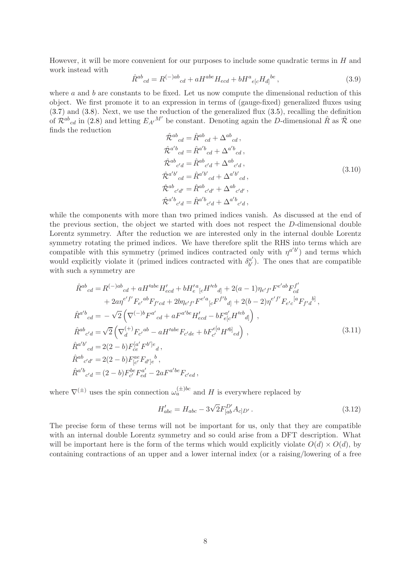However, it will be more convenient for our purposes to include some quadratic terms in  $H$  and work instead with

<span id="page-8-0"></span>
$$
\hat{R}^{ab}{}_{cd} = R^{(-)ab}{}_{cd} + aH^{abe}H_{ecd} + bH^a{}_{e[c}H_{d]}{}^{be},\tag{3.9}
$$

where  $a$  and  $b$  are constants to be fixed. Let us now compute the dimensional reduction of this object. We first promote it to an expression in terms of (gauge-fixed) generalized fluxes using [\(3.7\)](#page-7-5) and [\(3.8\)](#page-7-6). Next, we use the reduction of the generalized flux [\(3.5\)](#page-7-7), recalling the definition of  $\mathcal{R}^{ab}{}_{cd}$  in [\(2.8\)](#page-6-2) and letting  $E_{A'}{}^{M'}$  be constant. Denoting again the D-dimensional  $\hat{R}$  as  $\hat{\mathcal{R}}$  one finds the reduction

$$
\hat{\mathcal{R}}^{ab}{}_{cd} = \hat{\mathcal{R}}^{ab}{}_{cd} + \Delta^{ab}{}_{cd},
$$
\n
$$
\hat{\mathcal{R}}^{a'b}{}_{cd} = \hat{\mathcal{R}}^{a'b}{}_{cd} + \Delta^{a'b}{}_{cd},
$$
\n
$$
\hat{\mathcal{R}}^{ab}{}_{c'd} = \hat{\mathcal{R}}^{ab}{}_{c'd} + \Delta^{ab}{}_{c'd},
$$
\n
$$
\hat{\mathcal{R}}^{a'b'}{}_{cd} = \hat{\mathcal{R}}^{a'b'}{}_{cd} + \Delta^{a'b'}{}_{cd},
$$
\n
$$
\hat{\mathcal{R}}^{ab}{}_{c'd'} = \hat{\mathcal{R}}^{ab}{}_{c'd'} + \Delta^{ab}{}_{c'd'} ,
$$
\n
$$
\hat{\mathcal{R}}^{a'b}{}_{c'd} = \hat{\mathcal{R}}^{a'b}{}_{c'd} + \Delta^{a'b}{}_{c'd},
$$
\n(3.10)

while the components with more than two primed indices vanish. As discussed at the end of the previous section, the object we started with does not respect the D-dimensional double Lorentz symmetry. After the reduction we are interested only in the internal double Lorentz symmetry rotating the primed indices. We have therefore split the RHS into terms which are compatible with this symmetry (primed indices contracted only with  $\eta^{a'b'}$ ) and terms which would explicitly violate it (primed indices contracted with  $\delta_{h'}^{\alpha'}$  $\alpha'_{b'}$ ). The ones that are compatible with such a symmetry are

$$
\hat{R}^{ab}{}_{cd} = R^{(-)ab}{}_{cd} + aH'^{abe}H'_{ecd} + bH'^{a}_{e}{}_{[c}H'^{eb}{}_{d]} + 2(a-1)\eta_{e'f'}F^{e'ab}F^{f'}_{cd} \n+ 2a\eta^{e'f'}F_{e'}{}^{ab}F_{f'cd} + 2b\eta_{e'f'}F^{e'a}{}_{[c}F^{f'b}{}_{d]} + 2(b-2)\eta^{e'f'}F_{e'c}{}^{[a}F_{f'd}{}^{b]},
$$
\n
$$
\hat{R}^{a'b}{}_{cd} = -\sqrt{2}\left(\nabla^{(-)b}F^{a'}{}_{cd} + aF^{a'be}H'_{ecd} - bF^{a'}_{e[c}H'^{eb}{}_{d]}\right),
$$
\n
$$
\hat{R}^{ab}{}_{c'd} = \sqrt{2}\left(\nabla^{(+)}_{d}F_{c'}{}^{ab} - aH'^{abe}F_{c'de} + bF^{e[a}_{c'}H'^{b]}{}_{ed}\right),
$$
\n
$$
\hat{R}^{a'b'}{}_{cd} = 2(2-b)F^{[a'}_{ce}F^{b']e}{}_{d},
$$
\n
$$
\hat{R}^{ab}{}_{c'd'} = 2(2-b)F^{ae}_{[c'}F_{d']e}{}^{b},
$$
\n
$$
\hat{R}^{a'b}{}_{c'd} = (2-b)F^{be}_{c'}F^{a'}_{ed} - 2aF^{a'be}F_{c'd}{}_{d},
$$
\n(3.11)

where  $\nabla^{(\pm)}$  uses the spin connection  $\omega_a^{(\pm)bc}$  and H is everywhere replaced by

$$
H'_{abc} = H_{abc} - 3\sqrt{2}F_{[ab}^{D'}A_{c]D'}.
$$
\n(3.12)

The precise form of these terms will not be important for us, only that they are compatible with an internal double Lorentz symmetry and so could arise from a DFT description. What will be important here is the form of the terms which would explicitly violate  $O(d) \times O(d)$ , by containing contractions of an upper and a lower internal index (or a raising/lowering of a free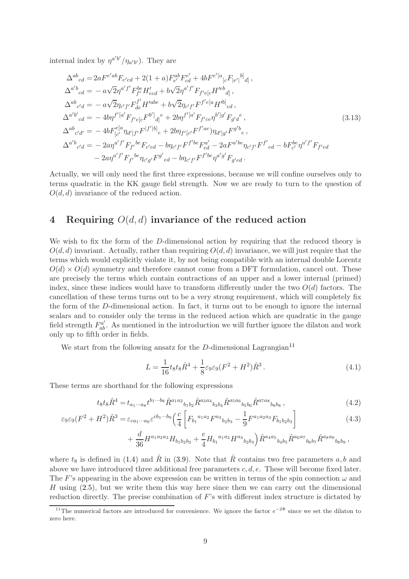internal index by  $\eta^{a'b'}/\eta_{a'b'}$ ). They are

$$
\Delta^{ab}{}_{cd} = 2aF^{e'ab}F_{e'cd} + 2(1+a)F^{ab}_{e'}F^{e'}_{cd} + 4bF^{e'[a}{}_{[c}F_{|e']}{}^{b]}_{d]},
$$
  
\n
$$
\Delta^{a'b}{}_{cd} = -a\sqrt{2}\eta^{a'f'}F^{be}_{f'}H'_{ecd} + b\sqrt{2}\eta^{a'f'}F_{f'e[c}H'^{eb}{}_{d]},
$$
  
\n
$$
\Delta^{ab}{}_{c'd} = -a\sqrt{2}\eta_{c'f'}F^{f'}_{de}H'^{abe} + b\sqrt{2}\eta_{c'f'}F^{f'e[a}H'^{b]}_{ed},
$$
  
\n
$$
\Delta^{a'b'}{}_{cd} = -4b\eta^{f'[a'}F_{f'e[c}F^{b']}{}_{d]}^e + 2b\eta^{f'[a'}F_{f'ce}\eta^{b']g'}F_{g'd}^e,
$$
  
\n
$$
\Delta^{ab}{}_{c'd'} = -4bF^{e[a}_{[c'}\eta_{d']f'}F^{[f'[b]}{}_{e} + 2b\eta_{f'[c'}F^{f'ae})\eta_{d']g'}F^{g'b}{}_{e},
$$
  
\n
$$
\Delta^{a'b}{}_{c'd} = -2a\eta^{a'f'}F_{f'}{}^{be}F_{c'ed} - b\eta_{c'f'}F^{f'be}F^{a'}_{ed} - 2aF^{a'be}\eta_{c'f'}F^{f'}{}_{ed} - bF^{be}_{c'}\eta^{a'f'}F_{f'ed}
$$
  
\n
$$
-2a\eta^{a'f'}F_{f'}{}^{be}\eta_{c'g'}F^{g'}{}_{ed} - b\eta_{c'f'}F^{f'be}\eta^{a'g'}F_{g'd}.
$$
  
\n(3.13)

Actually, we will only need the first three expressions, because we will confine ourselves only to terms quadratic in the KK gauge field strength. Now we are ready to turn to the question of  $O(d, d)$  invariance of the reduced action.

#### <span id="page-9-0"></span>4 Requiring  $O(d, d)$  invariance of the reduced action

We wish to fix the form of the D-dimensional action by requiring that the reduced theory is  $O(d, d)$  invariant. Actually, rather than requiring  $O(d, d)$  invariance, we will just require that the terms which would explicitly violate it, by not being compatible with an internal double Lorentz  $O(d) \times O(d)$  symmetry and therefore cannot come from a DFT formulation, cancel out. These are precisely the terms which contain contractions of an upper and a lower internal (primed) index, since these indices would have to transform differently under the two  $O(d)$  factors. The cancellation of these terms turns out to be a very strong requirement, which will completely fix the form of the D-dimensional action. In fact, it turns out to be enough to ignore the internal scalars and to consider only the terms in the reduced action which are quadratic in the gauge field strength  $F_{ab}^{a'}$ . As mentioned in the introduction we will further ignore the dilaton and work only up to fifth order in fields.

We start from the following ansatz for the D-dimensional Lagrangian<sup>[11](#page-9-1)</sup>

<span id="page-9-2"></span>
$$
L = \frac{1}{16} t_8 t_8 \hat{R}^4 + \frac{1}{8} \varepsilon_9 \varepsilon_9 (F^2 + H^2) \hat{R}^3.
$$
 (4.1)

These terms are shorthand for the following expressions

$$
t_8 t_8 \hat{R}^4 = t_{a_1 \cdots a_8} t^{b_1 \cdots b_8} \hat{R}^{a_1 a_2}{}_{b_1 b_2} \hat{R}^{a_3 a_4}{}_{b_3 b_4} \hat{R}^{a_5 a_6}{}_{b_5 b_6} \hat{R}^{a_7 a_8}{}_{b_8 b_8} \,, \tag{4.2}
$$

$$
\varepsilon_9 \varepsilon_9 (F^2 + H^2) \hat{R}^3 = \varepsilon_{ca_1 \cdots a_9} \varepsilon^{cb_1 \cdots b_9} \left( \frac{c}{4} \left[ F_{b_1}{}^{a_1 a_2} F^{a_3}{}_{b_2 b_3} - \frac{1}{9} F^{a_1 a_2 a_3} F_{b_1 b_2 b_3} \right] \right)
$$
(4.3)

$$
+ \frac{d}{36} H^{a_1 a_2 a_3} H_{b_1 b_2 b_3} + \frac{e}{4} H_{b_1}{}^{a_1 a_2} H^{a_3}{}_{b_2 b_3} \Big) \hat{R}^{a_4 a_5}{}_{b_4 b_5} \hat{R}^{a_6 a_7}{}_{b_6 b_7} \hat{R}^{a_8 a_9}{}_{b_8 b_9} ,
$$

where  $t_8$  is defined in [\(1.4\)](#page-1-2) and  $\hat{R}$  in [\(3.9\)](#page-8-0). Note that  $\hat{R}$  contains two free parameters a, b and above we have introduced three additional free parameters  $c, d, e$ . These will become fixed later. The F's appearing in the above expression can be written in terms of the spin connection  $\omega$  and H using  $(2.5)$ , but we write them this way here since then we can carry out the dimensional reduction directly. The precise combination of  $F$ 's with different index structure is dictated by

<span id="page-9-1"></span><sup>&</sup>lt;sup>11</sup>The numerical factors are introduced for convenience. We ignore the factor  $e^{-2\Phi}$  since we set the dilaton to zero here.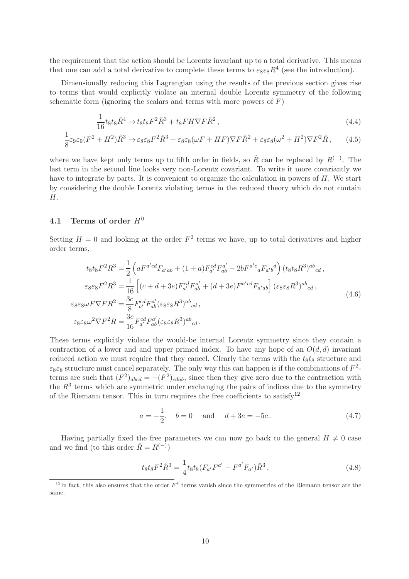the requirement that the action should be Lorentz invariant up to a total derivative. This means that one can add a total derivative to complete these terms to  $\varepsilon_8 \varepsilon_8 R^4$  (see the introduction).

Dimensionally reducing this Lagrangian using the results of the previous section gives rise to terms that would explicitly violate an internal double Lorentz symmetry of the following schematic form (ignoring the scalars and terms with more powers of  $F$ )

$$
\frac{1}{16}t_8t_8\hat{R}^4 \to t_8t_8F^2\hat{R}^3 + t_8F H \nabla F \hat{R}^2\,,\tag{4.4}
$$

$$
\frac{1}{8}\varepsilon_9\varepsilon_9(F^2+H^2)\hat{R}^3 \to \varepsilon_8\varepsilon_8 F^2\hat{R}^3 + \varepsilon_8\varepsilon_8(\omega F + HF)\nabla F\hat{R}^2 + \varepsilon_8\varepsilon_8(\omega^2 + H^2)\nabla F^2\hat{R},\qquad(4.5)
$$

where we have kept only terms up to fifth order in fields, so  $\hat{R}$  can be replaced by  $R^{(-)}$ . The last term in the second line looks very non-Lorentz covariant. To write it more covariantly we have to integrate by parts. It is convenient to organize the calculation in powers of H. We start by considering the double Lorentz violating terms in the reduced theory which do not contain H.

#### <span id="page-10-0"></span>4.1 Terms of order  $H^0$

Setting  $H = 0$  and looking at the order  $F^2$  terms we have, up to total derivatives and higher order terms,

$$
t_{8}t_{8}F^{2}R^{3} = \frac{1}{2}\left(aF^{a'cd}F_{a'ab} + (1+a)F^{cd}_{a'}F^{a'}_{ab} - 2bF^{a'c}_{a}F_{a'b}{}^{d}\right)(t_{8}t_{8}R^{3})^{ab}_{cd},
$$
  
\n
$$
\varepsilon_{8}\varepsilon_{8}F^{2}R^{3} = \frac{1}{16}\left[ (c+d+3e)F^{cd}_{a'}F^{a'}_{ab} + (d+3e)F^{a'cd}F_{a'ab} \right](\varepsilon_{8}\varepsilon_{8}R^{3})^{ab}_{cd},
$$
  
\n
$$
\varepsilon_{8}\varepsilon_{8}\omega F \nabla F R^{2} = \frac{3c}{8}F^{cd}_{a'}F^{a'}_{ab}(\varepsilon_{8}\varepsilon_{8}R^{3})^{ab}_{cd},
$$
  
\n
$$
\varepsilon_{8}\varepsilon_{8}\omega^{2} \nabla F^{2}R = \frac{3c}{16}F^{cd}_{a'}F^{a'}_{ab}(\varepsilon_{8}\varepsilon_{8}R^{3})^{ab}_{cd}.
$$
  
\n(4.6)

These terms explicitly violate the would-be internal Lorentz symmetry since they contain a contraction of a lower and and upper primed index. To have any hope of an  $O(d, d)$  invariant reduced action we must require that they cancel. Clearly the terms with the  $t_8t_8$  structure and  $\varepsilon_8\varepsilon_8$  structure must cancel separately. The only way this can happen is if the combinations of  $F^2$ terms are such that  $(F^2)_{abcd} = -(F^2)_{cdab}$ , since then they give zero due to the contraction with the  $R<sup>3</sup>$  terms which are symmetric under exchanging the pairs of indices due to the symmetry of the Riemann tensor. This in turn requires the free coefficients to satisfy<sup>[12](#page-10-1)</sup>

$$
a = -\frac{1}{2}
$$
,  $b = 0$  and  $d + 3e = -5c$ . (4.7)

Having partially fixed the free parameters we can now go back to the general  $H \neq 0$  case and we find (to this order  $\hat{R} = R^{(-)}$ )

<span id="page-10-2"></span>
$$
t_8 t_8 F^2 \hat{R}^3 = \frac{1}{4} t_8 t_8 (F_{a'} F^{a'} - F^{a'} F_{a'}) \hat{R}^3 ,\qquad (4.8)
$$

<span id="page-10-1"></span><sup>&</sup>lt;sup>12</sup>In fact, this also ensures that the order  $F<sup>4</sup>$  terms vanish since the symmetries of the Riemann tensor are the same.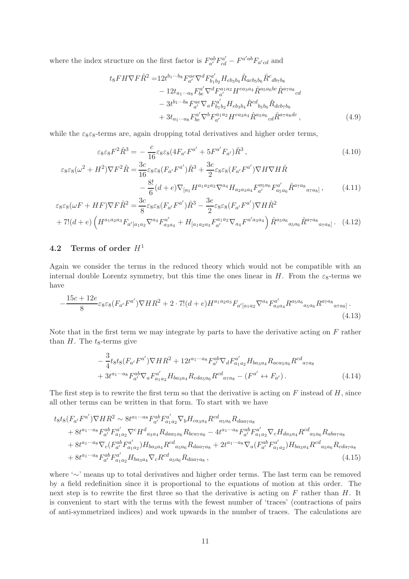where the index structure on the first factor is  $F_{a'}^{ab}F_{cd}^{a'} - F^{a'ab}F_{a'cd}$  and

<span id="page-11-5"></span><span id="page-11-4"></span><span id="page-11-3"></span>
$$
t_{8}FH\nabla F\hat{R}^{2} = 12t^{b_{1}\cdots b_{8}}F_{a'}^{ae}\nabla^{d}F_{b_{1}b_{2}}^{a'}H_{eb_{3}b_{4}}\hat{R}_{acb_{5}b_{6}}\hat{R}^{c}{}_{db_{7}b_{8}}- 12t_{a_{1}\cdots a_{8}}F_{b'c}^{a'}\nabla^{d}F_{a'}^{a_{1}a_{2}}H^{ea_{3}a_{4}}\hat{R}^{a_{5}a_{6}bc}\hat{R}^{a_{7}a_{8}}{}_{cd}- 3t^{b_{1}\cdots b_{8}}F_{a'}^{ae}\nabla_{a}F_{b_{1}b_{2}}^{a'}H_{eb_{3}b_{4}}\hat{R}^{cd}{}_{b_{5}b_{6}}\hat{R}_{dcb_{7}b_{8}}+ 3t_{a_{1}\cdots a_{8}}F_{b'c}^{a'}\nabla^{b}F_{a'}^{a_{1}a_{2}}H^{ea_{3}a_{4}}\hat{R}^{a_{5}a_{6}}{}_{cd}\hat{R}^{a_{7}a_{8}dc},
$$
\n(4.9)

while the  $\varepsilon_8 \varepsilon_8$ -terms are, again dropping total derivatives and higher order terms,

$$
\varepsilon_{8}\varepsilon_{8}F^{2}\hat{R}^{3} = -\frac{c}{16}\varepsilon_{8}\varepsilon_{8}(4F_{a'}F^{a'} + 5F^{a'}F_{a'})\hat{R}^{3},
$$
\n(4.10)\n
$$
\varepsilon_{8}\varepsilon_{8}(\omega^{2} + H^{2})\nabla F^{2}\hat{R} = \frac{3c}{16}\varepsilon_{8}\varepsilon_{8}(F_{a'}F^{a'})\hat{R}^{3} + \frac{3e}{2}\varepsilon_{8}\varepsilon_{8}(F_{a'}F^{a'})\nabla H\nabla H\hat{R} - \frac{8!}{6}(d+e)\nabla_{[a_{1}}H^{a_{1}a_{2}a_{3}}\nabla^{a_{4}}H_{a_{2}a_{3}a_{4}}F^{a_{5}a_{6}}_{a'}F^{a'}_{a_{5}a_{6}}\hat{R}^{a_{7}a_{8}}_{a_{7}a_{8}] ,
$$
\n(4.11)

$$
\varepsilon_{8}\varepsilon_{8}(\omega F + HF)\nabla F\hat{R}^{2} = \frac{3c}{8}\varepsilon_{8}\varepsilon_{8}(F_{a'}F^{a'})\hat{R}^{3} - \frac{3e}{2}\varepsilon_{8}\varepsilon_{8}(F_{a'}F^{a'})\nabla H\hat{R}^{2} + 7!(d+e)\left(H^{a_{1}a_{2}a_{3}}F_{a'|a_{1}a_{2}}\nabla^{a_{4}}F_{a_{3}a_{4}}^{a'} + H_{[a_{1}a_{2}a_{3}}F_{a'}^{a_{1}a_{2}}\nabla_{a_{4}}F^{a'a_{3}a_{4}}\right)\hat{R}^{a_{5}a_{6}}{}_{a_{5}a_{6}}\hat{R}^{a_{7}a_{8}}{}_{a_{7}a_{8}}.\tag{4.12}
$$

#### <span id="page-11-0"></span>4.2 Terms of order  $H^1$

Again we consider the terms in the reduced theory which would not be compatible with an internal double Lorentz symmetry, but this time the ones linear in H. From the  $\varepsilon_8$ -terms we have

$$
-\frac{15c+12e}{8}\varepsilon_8\varepsilon_8(F_{a'}F^{a'})\nabla HR^2 + 2\cdot 7!(d+e)H^{a_1a_2a_3}F_{a'[a_1a_2}\nabla^{a_4}F^{a'}_{a_3a_4}R^{a_5a_6}{}_{a_5a_6}R^{a_7a_8}{}_{a_7a_8]}.
$$
\n(4.13)

Note that in the first term we may integrate by parts to have the derivative acting on  $F$  rather than  $H$ . The  $t_8$ -terms give

<span id="page-11-6"></span><span id="page-11-2"></span><span id="page-11-1"></span>
$$
-\frac{3}{4}t_8t_8(F_{a'}F^{a'})\nabla HR^2 + 12t^{a_1\cdots a_8}F_{a'}^{ab}\nabla_d F_{a_1a_2}^{a'}H_{ba_3a_4}R_{aca_5a_6}R^{cd}_{a_7a_8} +3t^{a_1\cdots a_8}F_{a'}^{ab}\nabla_a F_{a_1a_2}^{a'}H_{ba_3a_4}R_{cda_5a_6}R^{cd}_{a_7a_8} - (F^{a'} \leftrightarrow F_{a'})
$$
 (4.14)

The first step is to rewrite the first term so that the derivative is acting on  $F$  instead of  $H$ , since all other terms can be written in that form. To start with we have

$$
t_{8}t_{8}(F_{a'}F^{a'})\nabla HR^{2} \sim 8t^{a_{1}\cdots a_{8}}F_{a'}^{ab}F_{a_{1}a_{2}}^{a'}\nabla_{b}H_{ca_{3}a_{4}}R^{cd}_{a_{5}a_{6}}R_{da_{7}a_{8}}+ 8t^{a_{1}\cdots a_{8}}F_{a'}^{ab}F_{a_{1}a_{2}}^{a'}\nabla^{c}H^{d}_{a_{3}a_{4}}R_{da_{3}a_{6}}R_{bca_{7}a_{8}} - 4t^{a_{1}\cdots a_{8}}F_{a'}^{ab}F_{a_{1}a_{2}}^{a'}\nabla_{c}H_{da_{3}a_{4}}R^{cd}_{a_{5}a_{6}}R_{aba_{7}a_{8}}+ 8t^{a_{1}\cdots a_{8}}\nabla_{c}(F_{a'}^{ab}F_{a_{1}a_{2}}^{a'})H_{ba_{3}a_{4}}R^{cd}_{a_{5}a_{6}}R_{da_{a_{7}a_{8}}} + 2t^{a_{1}\cdots a_{8}}\nabla_{a}(F_{a'}^{ab}F_{a_{1}a_{2}}^{a'})H_{ba_{3}a_{4}}R^{cd}_{a_{5}a_{6}}R_{cda_{7}a_{8}}+ 8t^{a_{1}\cdots a_{8}}F_{a'}^{ab}F_{a_{1}a_{2}}^{a'}H_{ba_{3}a_{4}}\nabla_{c}R^{cd}_{a_{5}a_{6}}R_{da_{7}a_{8}},
$$
\n(4.15)

where '∼' means up to total derivatives and higher order terms. The last term can be removed by a field redefinition since it is proportional to the equations of motion at this order. The next step is to rewrite the first three so that the derivative is acting on  $F$  rather than  $H$ . It is convenient to start with the terms with the fewest number of 'traces' (contractions of pairs of anti-symmetrized indices) and work upwards in the number of traces. The calculations are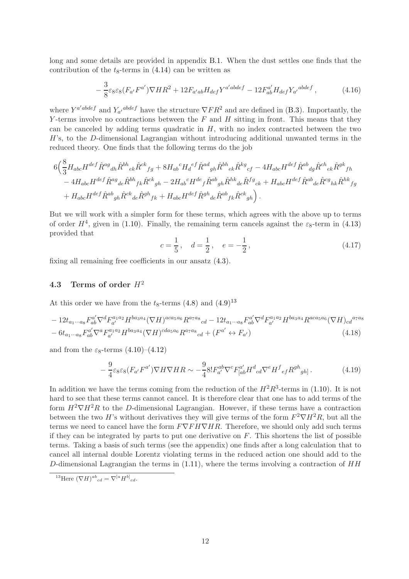long and some details are provided in appendix [B.1.](#page-17-1) When the dust settles one finds that the contribution of the  $t_8$ -terms in  $(4.14)$  can be written as

<span id="page-12-2"></span>
$$
-\frac{3}{8}\varepsilon_8\varepsilon_8(F_{a'}F^{a'})\nabla HR^2 + 12F_{a'ab}H_{def}Y^{a'abdef} - 12F_{ab}^{a'}H_{def}Y_{a'}^{abdef},\tag{4.16}
$$

where  $Y^{a'abdef}$  and  $Y_{a'}^{abdef}$  have the structure  $\nabla F R^2$  and are defined in [\(B.3\)](#page-18-0). Importantly, the Y-terms involve no contractions between the  $F$  and  $H$  sitting in front. This means that they can be canceled by adding terms quadratic in  $H$ , with no index contracted between the two  $H$ 's, to the D-dimensional Lagrangian without introducing additional unwanted terms in the reduced theory. One finds that the following terms do the job

$$
\begin{split} &6 \Big( \frac{8}{3} H_{abc} H^{def} \hat{R}^{ag}{}_{dh} \hat{R}^{bh}{}_{ek} \hat{R}^{ck}{}_{fg} + 8 H_{ab}{}^c H_d{}^{ef} \hat{R}^{ad}{}_{gh} \hat{R}^{bh}{}_{ek} \hat{R}^{kg}{}_{cf} - 4 H_{abc} H^{def} \hat{R}^{ab}{}_{dg} \hat{R}^{ch}{}_{ek} \hat{R}^{gh}{}_{fh} \\ & - 4 H_{abc} H^{def} \hat{R}^{ag}{}_{de} \hat{R}^{bh}{}_{fk} \hat{R}^{ck}{}_{gh} - 2 H_{ab}{}^c H^{de}{}_f \hat{R}^{ab}{}_{gh} \hat{R}^{hk}{}_{de} \hat{R}^{fg}{}_{ck} + H_{abc} H^{def} \hat{R}^{ab}{}_{de} \hat{R}^{ca}{}_{hk} \hat{R}^{hk}{}_{fg} \\ & + H_{abc} H^{def} \hat{R}^{ab}{}_{gh} \hat{R}^{ck}{}_{de} \hat{R}^{gh}{}_{fk} + H_{abc} H^{def} \hat{R}^{ab}{}_{fe} \hat{R}^{ab}{}_{fh} \hat{R}^{ck}{}_{gh} \Big) \,. \end{split}
$$

But we will work with a simpler form for these terms, which agrees with the above up to terms of order  $H^4$ , given in [\(1.10\)](#page-2-2). Finally, the remaining term cancels against the  $\varepsilon_8$ -term in [\(4.13\)](#page-11-2) provided that

$$
c = \frac{1}{5}, \quad d = \frac{1}{2}, \quad e = -\frac{1}{2},
$$
 (4.17)

<span id="page-12-0"></span>fixing all remaining free coefficients in our ansatz [\(4.3\)](#page-9-2).

### 4.3 Terms of order  $H^2$

At this order we have from the  $t_8$ -terms  $(4.8)$  and  $(4.9)^{13}$  $(4.9)^{13}$  $(4.9)^{13}$ 

$$
-12t_{a_1\cdots a_8}F_{ab}^{a'}\nabla^d F_{a'}^{a_1a_2}H^{ba_3a_4}(\nabla H)^{aca_5a_6}R^{a_7a_8}{}_{cd}-12t_{a_1\cdots a_8}F_{ab}^{a'}\nabla^d F_{a'}^{a_1a_2}H^{ba_3a_4}R^{aca_5a_6}(\nabla H)_{cd}^{a_7a_8}
$$
  

$$
-6t_{a_1\cdots a_8}F_{ab}^{a'}\nabla^a F_{a'}^{a_1a_2}H^{ba_3a_4}(\nabla H)^{cda_5a_6}R^{a_7a_8}{}_{cd}+(F^{a'}\leftrightarrow F_{a'})
$$
 (4.18)

and from the  $\varepsilon_8$ -terms  $(4.10)$ – $(4.12)$ 

$$
-\frac{9}{4}\varepsilon_8\varepsilon_8(F_{a'}F^{a'})\nabla H\nabla H R \sim -\frac{9}{4}8!F_{a'}^{ab}\nabla^c F_{[ab}^{a'}H^d{}_{cd}\nabla^e H^f{}_{ef}R^{gh}{}_{gh} \,.
$$
 (4.19)

In addition we have the terms coming from the reduction of the  $H^2R^3$ -terms in [\(1.10\)](#page-2-2). It is not hard to see that these terms cannot cancel. It is therefore clear that one has to add terms of the form  $H^2 \nabla H^2 R$  to the D-dimensional Lagrangian. However, if these terms have a contraction between the two H's without derivatives they will give terms of the form  $F^2 \nabla H^2 R$ , but all the terms we need to cancel have the form  $F\nabla F H \nabla H R$ . Therefore, we should only add such terms if they can be integrated by parts to put one derivative on  $F$ . This shortens the list of possible terms. Taking a basis of such terms (see the appendix) one finds after a long calculation that to cancel all internal double Lorentz violating terms in the reduced action one should add to the D-dimensional Lagrangian the terms in  $(1.11)$ , where the terms involving a contraction of  $HH$ 

<span id="page-12-1"></span><sup>&</sup>lt;sup>13</sup>Here  $(\nabla H)^{ab}{}_{cd} = \nabla^{[a} H^{b]}{}_{cd}$ .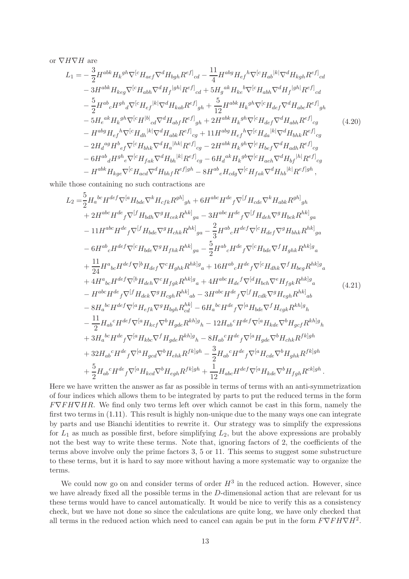or  $\nabla H \nabla H$  are

<span id="page-13-0"></span>
$$
L_{1} = -\frac{3}{2}H^{abk}H_{k}{}^{gh}\nabla^{[c}H_{aef}\nabla^{d}H_{bgh}R^{ef]}{}_{cd} - \frac{11}{4}H^{abg}H_{ef}{}^{h}\nabla^{[c}H_{ab}|^{k}|\nabla^{d}H_{kgh}R^{ef]}{}_{cd}
$$
  
\n
$$
-3H^{abk}H_{keg}\nabla^{[c}H_{abh}\nabla^{d}H_{f}{}^{[gh]}R^{ef]}{}_{cd} + 5H_{g}{}^{ak}H_{ke}{}^{b}\nabla^{[c}H_{abh}\nabla^{d}H_{f}{}^{[gh]}R^{ef]}{}_{cd}
$$
  
\n
$$
-\frac{5}{2}H^{ab}{}_{c}H^{gh}{}_{d}\nabla^{[c}H_{ef}{}^{k}|\nabla^{d}H_{kab}R^{ef]}{}_{gh} + \frac{5}{12}H^{abk}H_{k}{}^{gh}\nabla^{[c}H_{def}\nabla^{d}H_{abc}R^{ef]}{}_{gh}
$$
  
\n
$$
-5H_{e}{}^{ak}H_{k}{}^{gh}\nabla^{[c}H^{b]}{}_{cd}\nabla^{d}H_{abf}R^{ef]}{}_{gh} + 2H^{abk}H_{k}{}^{gh}\nabla^{[c}H_{def}\nabla^{d}H_{abh}R^{ef]}{}_{cg}
$$
  
\n
$$
-H^{abg}H_{ef}{}^{h}\nabla^{[c}H_{dh}{}^{k}|\nabla^{d}H_{abk}R^{ef]}{}_{cg} + 11H^{abg}H_{ef}{}^{h}\nabla^{[c}H_{da}{}^{k}|\nabla^{d}H_{bhk}R^{ef]}{}_{cg}
$$
  
\n
$$
-2H_{d}{}^{ag}H^{b}{}_{ef}\nabla^{[c}H_{bhk}\nabla^{d}H_{a}{}^{[hk]}R^{ef]}{}_{cg} - 2H^{abk}H_{k}{}^{gh}\nabla^{[c}H_{bcf}\nabla^{d}H_{adh}R^{ef]}{}_{cg}
$$
  
\n
$$
-6H^{ab}{}_{d}H^{gh}{}_{e}\nabla^{[c}H_{fak}\nabla^{d}H_{bh}{}^{[k]}R^{ef]}{}_{cg} - 6H_{d}{}^{ak}H_{k}{}^{gb}\
$$

while those containing no such contractions are

<span id="page-13-1"></span>
$$
L_{2} = \frac{5}{2} H_{a}{}^{bc} H^{def} \nabla^{[a} H_{bde} \nabla^{k} H_{cfk} R^{gh]}_{gh} + 6H^{abc} H^{de} {}_{f} \nabla^{[f} H_{cde} \nabla^{k} H_{abk} R^{gh]}_{gh} + 2H^{abc} H^{de} {}_{f} \nabla^{[f} H_{bdh} \nabla^{g} H_{cek} R^{hk]}_{ga} - 3H^{abc} H^{de} {}_{f} \nabla^{[f} H_{deh} \nabla^{g} H_{bck} R^{hk]}_{ga} - 6H^{ab} {}_{c} H^{def} \nabla^{[f} H_{bde} \nabla^{g} H_{chk} R^{hk]}_{ga} - \frac{2}{3} H^{ab} {}_{c} H^{def} \nabla^{[c} H_{bde} \nabla^{g} H_{bhk} R^{hk]}_{ga} + \frac{11}{24} H^{a} {}_{bc} H^{def} \nabla^{[b} H_{def} \nabla^{c} H_{ghk} R^{hk]}_{ga} + 16H^{ab} {}_{c} H^{de} {}_{f} \nabla^{[c} H_{dhk} \nabla^{f} H_{bgk} R^{hk]}_{a} + 4H^{a} {}_{bc} H^{def} \nabla^{[b} H_{deh} \nabla^{c} H_{fgk} R^{hk]}_{a} + 16H^{ab} {}_{c} H^{de} {}_{f} \nabla^{[c} H_{dhk} \nabla^{f} H_{beg} R^{hk]}_{a} + 4H^{a} {}_{bc} H^{def} \nabla^{[b} H_{deh} \nabla^{c} H_{fgk} R^{hk]}_{ab} - 3H^{abc} H^{de} {}_{f} \nabla^{[f} H_{cdk} \nabla^{g} H_{fgk} R^{hk]}_{ab} - H^{abc} H^{def} \nabla^{[f} H_{dek} \nabla^{g} H_{cgh} R^{hk]}_{ab} - 3H^{abc} H^{de} {}_{f} \nabla^{[f} H_{cdk} \nabla^{g} H_{egh} R^{hk]}_{ab} - 8H_{a}{}^{bc} H^{def} \nabla^{[a} H_{efk} \nabla^{g} H_{bgh} R^{kh]}_{cd} - 6H_{a}{}^{bc} H^{de} {}
$$

Here we have written the answer as far as possible in terms of terms with an anti-symmetrization of four indices which allows them to be integrated by parts to put the reduced terms in the form  $F\nabla F H \nabla H R$ . We find only two terms left over which cannot be cast in this form, namely the first two terms in [\(1.11\)](#page-2-3). This result is highly non-unique due to the many ways one can integrate by parts and use Bianchi identities to rewrite it. Our strategy was to simplify the expressions for  $L_1$  as much as possible first, before simplifying  $L_2$ , but the above expressions are probably not the best way to write these terms. Note that, ignoring factors of 2, the coefficients of the terms above involve only the prime factors 3, 5 or 11. This seems to suggest some substructure to these terms, but it is hard to say more without having a more systematic way to organize the terms.

We could now go on and consider terms of order  $H^3$  in the reduced action. However, since we have already fixed all the possible terms in the D-dimensional action that are relevant for us these terms would have to cancel automatically. It would be nice to verify this as a consistency check, but we have not done so since the calculations are quite long, we have only checked that all terms in the reduced action which need to cancel can again be put in the form  $F\nabla F H \nabla H^2$ .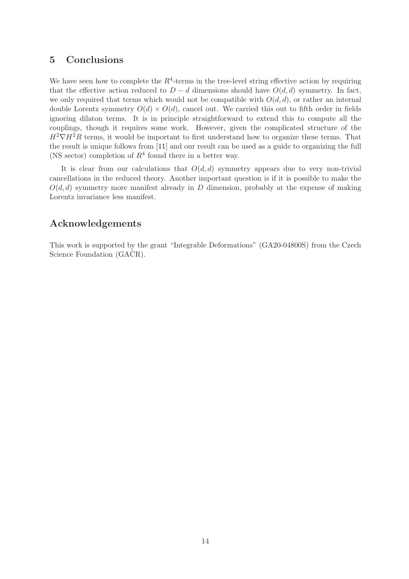### <span id="page-14-0"></span>5 Conclusions

We have seen how to complete the  $R^4$ -terms in the tree-level string effective action by requiring that the effective action reduced to  $D - d$  dimensions should have  $O(d, d)$  symmetry. In fact, we only required that terms which would not be compatible with  $O(d, d)$ , or rather an internal double Lorentz symmetry  $O(d) \times O(d)$ , cancel out. We carried this out to fifth order in fields ignoring dilaton terms. It is in principle straightforward to extend this to compute all the couplings, though it requires some work. However, given the complicated structure of the  $H^2 \nabla H^2 R$  terms, it would be important to first understand how to organize these terms. That the result is unique follows from [\[11\]](#page-21-10) and our result can be used as a guide to organizing the full (NS sector) completion of  $R^4$  found there in a better way.

It is clear from our calculations that  $O(d, d)$  symmetry appears due to very non-trivial cancellations in the reduced theory. Another important question is if it is possible to make the  $O(d, d)$  symmetry more manifest already in D dimension, probably at the expense of making Lorentz invariance less manifest.

## Acknowledgements

This work is supported by the grant "Integrable Deformations" (GA20-04800S) from the Czech Science Foundation (GACR).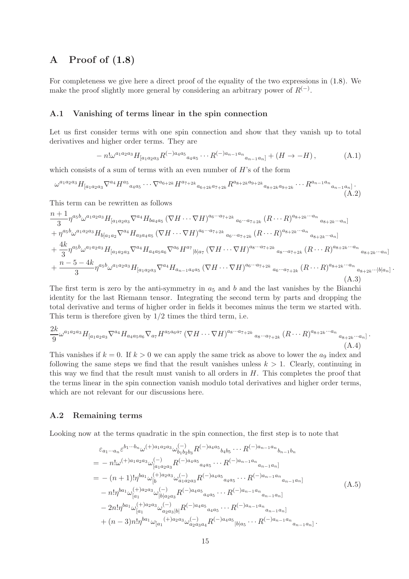## <span id="page-15-0"></span>A Proof of [\(1.8\)](#page-2-0)

For completeness we give here a direct proof of the equality of the two expressions in [\(1.8\)](#page-2-0). We make the proof slightly more general by considering an arbitrary power of  $R^{(-)}$ .

#### <span id="page-15-1"></span>A.1 Vanishing of terms linear in the spin connection

Let us first consider terms with one spin connection and show that they vanish up to total derivatives and higher order terms. They are

$$
- n! \omega^{a_1 a_2 a_3} H_{[a_1 a_2 a_3} R^{(-) a_4 a_5} a_4 a_5 \cdots R^{(-) a_{n-1} a_n} a_{n-1} a_n] + (H \to -H), \tag{A.1}
$$

which consists of a sum of terms with an even number of  $H$ 's of the form

$$
\omega^{a_1 a_2 a_3} H_{[a_1 a_2 a_3} \nabla^{a_4} H^{a_5}{}_{a_4 a_5} \cdots \nabla^{a_{6+2k}} H^{a_{7+2k}}{}_{a_{6+2k} a_{7+2k}} R^{a_{8+2k} a_{9+2k}}{}_{a_{8+2k} a_{9+2k}} \cdots R^{a_{n-1} a_n}{}_{a_{n-1} a_n]}.
$$
\n(A.2)

This term can be rewritten as follows

n + 1

$$
\frac{n+1}{3}\eta^{a_{5}b}\omega^{a_{1}a_{2}a_{3}}H_{[a_{1}a_{2}a_{3}}\nabla^{a_{4}}H_{ba_{4}a_{5}}(\nabla H\cdots\nabla H)^{a_{6}\cdots a_{7+2k}}a_{6}\cdots a_{7+2k}(R\cdots R)^{a_{8+2k}\cdots a_{n}}a_{8+2k}\cdots a_{n}] \n+ \eta^{a_{5}b}\omega^{a_{1}a_{2}a_{3}}H_{b[a_{1}a_{2}}\nabla^{a_{4}}H_{a_{3}a_{4}a_{5}}(\nabla H\cdots\nabla H)^{a_{6}\cdots a_{7+2k}}a_{6}\cdots a_{7+2k}(R\cdots R)^{a_{8+2k}\cdots a_{n}}a_{8+2k}\cdots a_{n}] \n+ \frac{4k}{3}\eta^{a_{5}b}\omega^{a_{1}a_{2}a_{3}}H_{[a_{1}a_{2}a_{3}}\nabla^{a_{4}}H_{a_{4}a_{5}a_{6}}\nabla^{a_{6}}H^{a_{7}}{}_{|b|a_{7}}(\nabla H\cdots\nabla H)^{a_{8}\cdots a_{7+2k}}a_{8}\cdots a_{7+2k}(R\cdots R)^{a_{8+2k}\cdots a_{n}}a_{8+2k}\cdots a_{n}] \n+ \frac{n-5-4k}{3}\eta^{a_{5}b}\omega^{a_{1}a_{2}a_{3}}H_{[a_{1}a_{2}a_{3}}\nabla^{a_{4}}H_{a_{n-1}a_{4}a_{5}}(\nabla H\cdots\nabla H)^{a_{6}\cdots a_{7+2k}}a_{6}\cdots a_{7+2k}(R\cdots R)^{a_{8+2k}\cdots a_{n}}a_{8+2k}\cdots |b|a_{n}]
$$
\n(A.3)

.

The first term is zero by the anti-symmetry in  $a_5$  and b and the last vanishes by the Bianchi identity for the last Riemann tensor. Integrating the second term by parts and dropping the total derivative and terms of higher order in fields it becomes minus the term we started with. This term is therefore given by  $1/2$  times the third term, i.e.

$$
\frac{2k}{9}\omega^{a_1 a_2 a_3} H_{[a_1 a_2 a_3} \nabla^{a_4} H_{a_4 a_5 a_6} \nabla_{a_7} H^{a_5 a_6 a_7} \left(\nabla H \cdots \nabla H\right)^{a_8 \cdots a_{7+2k}} a_8 \cdots a_{7+2k} \left(R \cdots R\right)^{a_{8+2k} \cdots a_n} a_{8+2k} \cdots a_n\tag{A.4}
$$

This vanishes if  $k = 0$ . If  $k > 0$  we can apply the same trick as above to lower the  $a_9$  index and following the same steps we find that the result vanishes unless  $k > 1$ . Clearly, continuing in this way we find that the result must vanish to all orders in  $H$ . This completes the proof that the terms linear in the spin connection vanish modulo total derivatives and higher order terms, which are not relevant for our discussions here.

#### <span id="page-15-2"></span>A.2 Remaining terms

Looking now at the terms quadratic in the spin connection, the first step is to note that

$$
\varepsilon_{a_1\cdots a_n} \varepsilon^{b_1\cdots b_n} \omega^{(+)a_1 a_2 a_3} \omega_{b_1 b_2 b_3}^{(-)} R^{(-)a_4 a_5}{}_{b_4 b_5} \cdots R^{(-)a_{n-1} a_n}{}_{b_{n-1} b_n}
$$
\n
$$
= - n! \omega^{(+)a_1 a_2 a_3} \omega_{[a_1 a_2 a_3}^{(-)} R^{(-)a_4 a_5}{}_{a_4 a_5} \cdots R^{(-)a_{n-1} a_n}{}_{a_{n-1} a_n]}
$$
\n
$$
= -(n+1)! \eta^{b a_1} \omega_{[b}^{(+) a_2 a_3} \omega_{a_1 a_2 a_3}^{(-)} R^{(-)a_4 a_5}{}_{a_4 a_5} \cdots R^{(-)a_{n-1} a_n}{}_{a_{n-1} a_n]}
$$
\n
$$
- n! \eta^{b a_1} \omega_{[a_1}^{(+) a_2 a_3} \omega_{[b] a_2 a_3}^{(-)} R^{(-)a_4 a_5}{}_{a_4 a_5} \cdots R^{(-)a_{n-1} a_n}{}_{a_{n-1} a_n]}
$$
\n
$$
- 2n! \eta^{b a_1} \omega_{[a_1}^{(+) a_2 a_3} \omega_{a_2 a_3 |b|}^{(-)} R^{(-)a_4 a_5}{}_{a_4 a_5} \cdots R^{(-)a_{n-1} a_n}{}_{a_{n-1} a_n]}
$$
\n
$$
+ (n-3) n! \eta^{b a_1} \omega_{[a_1}^{(+) a_2 a_3} \omega_{a_2 a_3 a_4}^{(-)} R^{(-)a_4 a_5}{}_{[b] a_5} \cdots R^{(-)a_{n-1} a_n}{}_{a_{n-1} a_n].
$$
\n
$$
(A.5)
$$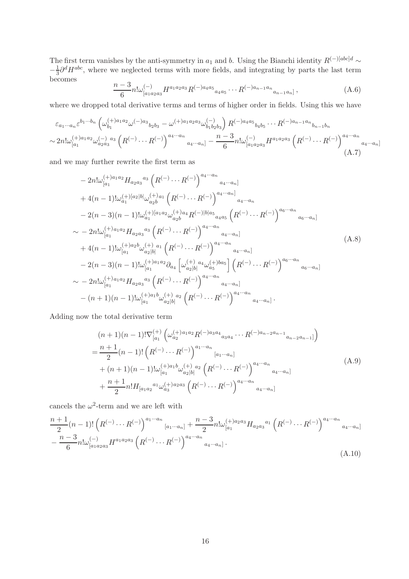The first term vanishes by the anti-symmetry in  $a_1$  and b. Using the Bianchi identity  $R^{(-)[abc]d} \sim$  $-\frac{1}{3}$  $\frac{1}{3}\partial^d H^{abc}$ , where we neglected terms with more fields, and integrating by parts the last term becomes

$$
\frac{n-3}{6}n!\omega_{[a_1a_2a_3]}^{(-)}H^{a_1a_2a_3}R^{(-)a_4a_5}{}_{a_4a_5}\cdots R^{(-)a_{n-1}a_n}{}_{a_{n-1}a_n]},\tag{A.6}
$$

where we dropped total derivative terms and terms of higher order in fields. Using this we have

$$
\varepsilon_{a_1\cdots a_n} \varepsilon^{b_1\cdots b_n} \left( \omega_{b_1}^{(+)a_1a_2} \omega^{(-)a_3}{}_{b_2b_3} - \omega^{(+)a_1a_2a_3} \omega_{b_1b_2b_3}^{(-)} \right) R^{(-)a_4a_5}{}_{b_4b_5} \cdots R^{(-)a_{n-1}a_n}{}_{b_{n-1}b_n}
$$
  
\n
$$
\sim 2n! \omega_{[a_1}^{(+)a_1a_2} \omega_{a_2a_3}^{(-)}{}^{a_3} \left( R^{(-)} \cdots R^{(-)} \right)^{a_4\cdots a_n}{}_{a_4\cdots a_n]} - \frac{n-3}{6}n! \omega_{[a_1a_2a_3}^{(-)} R^{a_1a_2a_3} \left( R^{(-)} \cdots R^{(-)} \right)^{a_4\cdots a_n}{}_{a_4\cdots a_n]} \tag{A.7}
$$

and we may further rewrite the first term as

$$
- 2n!\omega_{[a_{1}}^{(+)a_{1}a_{2}}H_{a_{2}a_{3}}{}^{a_{3}}\left(R^{(-)}\cdots R^{(-)}\right)^{a_{4}\cdots a_{n}}a_{4}\cdots a_{n}] + 4(n-1)!\omega_{a_{1}}^{(+) [a_{2} |b|}\omega_{a_{2}b}^{(+)a_{1}}\left(R^{(-)}\cdots R^{(-)}\right)^{a_{4}\cdots a_{n}}a_{4}\cdots a_{n} - 2(n-3)(n-1)!\omega_{a_{1}}^{(+) [a_{1}a_{2}}\omega_{a_{2}b}^{(+)a_{4}}R^{(-) |b|a_{5}}a_{4}a_{5}\left(R^{(-)}\cdots R^{(-)}\right)^{a_{6}\cdots a_{n}}a_{6}\cdots a_{n}] \sim - 2n!\omega_{[a_{1}}^{(+)a_{1}a_{2}}H_{a_{2}a_{3}}{}^{a_{3}}\left(R^{(-)}\cdots R^{(-)}\right)^{a_{4}\cdots a_{n}}a_{4}\cdots a_{n}] + 4(n-1)!\omega_{[a_{1}}^{(+)a_{2}b}\omega_{a_{2}|b|}^{(+)a_{1}}\left(R^{(-)}\cdots R^{(-)}\right)^{a_{4}\cdots a_{n}}a_{4}\cdots a_{n}] - 2(n-3)(n-1)!\omega_{[a_{1}}^{(+)a_{1}a_{2}}\partial_{a_{4}}\left[\omega_{a_{2}|b|}^{(+)a_{4}}\omega_{a_{5}}^{(+)ba_{5}}\right]\left(R^{(-)}\cdots R^{(-)}\right)^{a_{6}\cdots a_{n}}a_{6}\cdots a_{n}] \sim - 2n!\omega_{[a_{1}}^{(+)a_{1}a_{2}}H_{a_{2}a_{3}}{}^{a_{3}}\left(R^{(-)}\cdots R^{(-)}\right)^{a_{4}\cdots a_{n}}a_{4}\cdots a_{n}] - (n+1)(n-1)!\omega_{[a_{1}}^{(+)a_{1}b}\omega_{a_{2}|b|}^{(+)a_{2}}\left(R^{(-)}\cdots R^{(-)}\right)^{a_{4}\cdots a_{n}}a_{4}\cdots a_{n}].
$$
\n(A.8)

Adding now the total derivative term

$$
(n+1)(n-1)!\nabla_{[a_1}^{(+)}\left(\omega_{a_2}^{(+)}a_1a_2R^{(-)}a_3a_4\dots R^{(-)}a_{n-2}a_{n-1}a_{n-2}a_{n-1}\right)\n= \frac{n+1}{2}(n-1)!\left(R^{(-)}\dots R^{(-)}\right)^{a_1\cdots a_n}_{\quad [a_1\cdots a_n]} \\
+(n+1)(n-1)!\omega_{[a_1}^{(+)}a_1b_4\dots a_{a_2|b|}^{(+)}a_2\left(R^{(-)}\dots R^{(-)}\right)^{a_4\cdots a_n}_{\quad a_4\cdots a_n]} \\
+\frac{n+1}{2}n!H_{[a_1a_2}^{(-)}a_1a_4\dots a_{a_3}^{(+)}a_2a_3\left(R^{(-)}\dots R^{(-)}\right)^{a_4\cdots a_n}_{\quad a_4\cdots a_n]}
$$
\n(A.9)

cancels the  $\omega^2$ -term and we are left with

$$
\frac{n+1}{2}(n-1)!\left(R^{(-)}\cdots R^{(-)}\right)^{a_1\cdots a_n}{}_{[a_1\cdots a_n]} + \frac{n-3}{2}n!\omega_{[a_1}^{(+)a_2a_3}H_{a_2a_3}{}^{a_1}\left(R^{(-)}\cdots R^{(-)}\right)^{a_4\cdots a_n}{}_{a_4\cdots a_n]} - \frac{n-3}{6}n!\omega_{[a_1a_2a_3}^{(-)}H^{a_1a_2a_3}\left(R^{(-)}\cdots R^{(-)}\right)^{a_4\cdots a_n}{}^{a_4\cdots a_n]}.
$$
\n(A.10)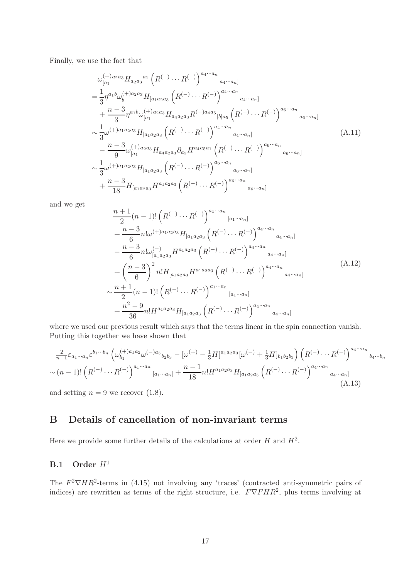Finally, we use the fact that

<span id="page-17-2"></span>
$$
\omega_{[a_1}^{(+)a_2a_3} H_{a_2a_3}{}^{a_1} \left( R^{(-)} \cdots R^{(-)} \right)^{a_4 \cdots a_n}{}_{a_4 \cdots a_n]}
$$
\n
$$
= \frac{1}{3} \eta^{a_1 b} \omega_b^{(+)a_2a_3} H_{[a_1a_2a_3} \left( R^{(-)} \cdots R^{(-)} \right)^{a_4 \cdots a_n}{}_{a_4 \cdots a_n]}
$$
\n
$$
+ \frac{n-3}{3} \eta^{a_1 b} \omega_{[a_1}^{(+)a_2a_3} H_{a_4a_2a_3} R^{(-)a_4a_5}{}_{|b|a_5} \left( R^{(-)} \cdots R^{(-)} \right)^{a_6 \cdots a_n}
$$
\n
$$
\sim \frac{1}{3} \omega^{(+)a_1a_2a_3} H_{[a_1a_2a_3} \left( R^{(-)} \cdots R^{(-)} \right)^{a_4 \cdots a_n}{}_{a_4 \cdots a_n]}
$$
\n
$$
- \frac{n-3}{9} \omega_{[a_1}^{(+)a_2a_3} H_{a_4a_2a_3} \partial_{a_5} H^{a_4a_5a_1} \left( R^{(-)} \cdots R^{(-)} \right)^{a_6 \cdots a_n}
$$
\n
$$
\sim \frac{1}{3} \omega^{(+)a_1a_2a_3} H_{[a_1a_2a_3} \left( R^{(-)} \cdots R^{(-)} \right)^{a_6 \cdots a_n}
$$
\n
$$
+ \frac{n-3}{18} H_{[a_1a_2a_3} H^{a_1a_2a_3} \left( R^{(-)} \cdots R^{(-)} \right)^{a_6 \cdots a_n}{}_{a_6 \cdots a_n]}
$$

and we get

$$
\frac{n+1}{2}(n-1)!\left(R^{(-)}\cdots R^{(-)}\right)^{a_1\cdots a_n}[a_1\cdots a_n] \n+ \frac{n-3}{6}n!\omega^{(+)a_1a_2a_3}H_{[a_1a_2a_3}\left(R^{(-)}\cdots R^{(-)}\right)^{a_4\cdots a_n}] \n- \frac{n-3}{6}n!\omega^{(-)}_{[a_1a_2a_3}H^{a_1a_2a_3}\left(R^{(-)}\cdots R^{(-)}\right)^{a_4\cdots a_n}] \n+ \left(\frac{n-3}{6}\right)^2 n!H_{[a_1a_2a_3}H^{a_1a_2a_3}\left(R^{(-)}\cdots R^{(-)}\right)^{a_4\cdots a_n}{}_{a_4\cdots a_n]}
$$
\n
$$
\sim \frac{n+1}{2}(n-1)!\left(R^{(-)}\cdots R^{(-)}\right)^{a_1\cdots a_n}{}_{[a_1\cdots a_n]}
$$
\n
$$
+ \frac{n^2-9}{36}n!H^{a_1a_2a_3}H_{[a_1a_2a_3}\left(R^{(-)}\cdots R^{(-)}\right)^{a_4\cdots a_n}{}_{a_4\cdots a_n]}
$$
\n(A.12)

where we used our previous result which says that the terms linear in the spin connection vanish. Putting this together we have shown that

$$
\frac{2}{n+1}\varepsilon_{a_1\cdots a_n}\varepsilon^{b_1\cdots b_n} \left(\omega_{b_1}^{(+)a_1a_2}\omega^{(-)a_3}{}_{b_2b_3} - [\omega^{(+)} - \frac{1}{3}H]^{a_1a_2a_3}[\omega^{(-)} + \frac{1}{3}H]_{b_1b_2b_3}\right) \left(R^{(-)}\cdots R^{(-)}\right)^{a_4\cdots a_n}{}_{b_4\cdots b_n}
$$
  

$$
\sim (n-1)! \left(R^{(-)}\cdots R^{(-)}\right)^{a_1\cdots a_n}{}_{[a_1\cdots a_n]} + \frac{n-1}{18}n!H^{a_1a_2a_3}H_{[a_1a_2a_3}\left(R^{(-)}\cdots R^{(-)}\right)^{a_4\cdots a_n}{}_{a_4\cdots a_n]} \tag{A.13}
$$

<span id="page-17-0"></span>and setting  $n = 9$  we recover  $(1.8)$ .

## B Details of cancellation of non-invariant terms

Here we provide some further details of the calculations at order  $H$  and  $H^2$ .

## <span id="page-17-1"></span>**B.1** Order  $H^1$

The  $F^2 \nabla H R^2$ -terms in [\(4.15\)](#page-11-6) not involving any 'traces' (contracted anti-symmetric pairs of indices) are rewritten as terms of the right structure, i.e.  $F\nabla FHR^2$ , plus terms involving at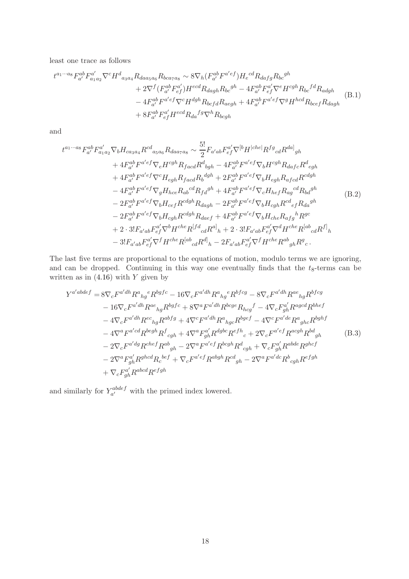least one trace as follows

$$
t^{a_1 \cdots a_8} F_{a'}^{ab} F_{a_1 a_2}^{a'} \nabla^c H_{a_3 a_4}^d R_{da a_5 a_6} R_{b c a_7 a_8} \sim 8 \nabla_h (F_{a'}^{ab} F^{a'ef}) H_e^{cd} R_{da fg} R_{bc}^{gh} + 2 \nabla^f (F_{a'}^{ab} F_{ef}^{a'}) H^{ecd} R_{da gh} R_{bc}^{gh} - 4 F_{a'}^{ab} F_{ef}^{a'} \nabla^e H^{cgh} R_{bc}^{fd} R_{adgh} - 4 F_{a'}^{ab} F^{a'ef} \nabla^c H^{dgh} R_{bcfd} R_{aegh} + 4 F_{a'}^{ab} F^{a'ef} \nabla^g H^{hcd} R_{b cef} R_{da gh} + 8 F_{a'}^{ab} F_{ef}^{a'} H^{ecd} R_{da}^{fg} \nabla^h R_{bcgh}
$$
\n(B.1)

and

$$
t^{a_1 \cdots a_8} F_{a'}^{ab} F_{a_1 a_2}^{a'} \nabla_b H_{ca_3 a_4} R^{cd}{}_{a_5 a_6} R_{da_7 a_8} \sim \frac{5!}{2} F_{a'ab} F_{ef}^{a'} \nabla^{[b} H^{|che|} R^{fg}{}_{cd} R^{da]}{}_{gh}
$$
  
+  $4 F_{a'}^{ab} F^{a'ef} \nabla_e H^{cgh} R_{facd} R^d{}_{bgh} - 4 F_{a'}^{ab} F^{a'ef} \nabla_b H^{cgh} R_{dafc} R^d{}_{egh}$   
+  $4 F_{a'}^{ab} F^{a'ef} \nabla^c H_{egh} R_{facd} R_b{}^{dgh} + 2 F_{a'}^{ab} F^{a'ef} \nabla_b H_{egh} R_{afcd} R^{cdgh}$   
-  $4 F_{a'}^{ab} F^{a'ef} \nabla_g H_{hce} R_{ab}{}^{cd} R_{fd}{}^{gh} + 4 F_{a'}^{ab} F^{a'ef} \nabla_c H_{hef} R_{ag}{}^{cd} R_{bd}{}^{gh}$   
-  $2 F_{a'}^{ab} F^{a'ef} \nabla_b H_{cef} R^{cdgh} R_{daef} + 2 F_{a'}^{ab} F^{a'ef} \nabla_b H_{cbh} R^{cd}{}_{ef} R_{da}{}^{gh}$   
-  $2 F_{a'}^{ab} F^{a'ef} \nabla_b H_{cgh} R^{cdgh} R_{daef} + 4 F_{a'}^{ab} F^{a'ef} \nabla_b H_{che} R_{afg}{}^h R^{gc}$   
+  $2 \cdot 3! F_{a'ab} F_{ef}^{a'} \nabla^b H^{che} R^{[fd}{}_{cd} R^{al}{}_{h} + 2 \cdot 3! F_{a'ab} F_{ef}^{a'} \nabla^d H^{che} R^{[ab}{}_{cd} R^{fl}{}_{h}$   
-  $3! F_{a'ab} F_{ef}^{a'} \nabla^f H^{che} R^{[ab}{}_{cd} R^{dl}{}_{h} - 2 F_{a'ab} F_{ef}^{a'} \nabla^f H^{che} R^{ab}{}_{gh} R^{g}{}_{c}$ .

The last five terms are proportional to the equations of motion, modulo terms we are ignoring, and can be dropped. Continuing in this way one eventually finds that the  $t_8$ -terms can be written as in  $(4.16)$  with Y given by

<span id="page-18-0"></span>
$$
Y^{a'abdef} = 8\nabla_c F^{a'dh} R^a{}_{hg}{}^e R^{bgfe} - 16\nabla_c F^{a'dh} R^a{}_{hg}{}^e R^{bfcg} - 8\nabla_c F^{a'dh} R^{ae}{}_{hg} R^{bfcg}
$$
  
\n
$$
- 16\nabla_c F^{a'dh} R^{ae}{}_{hg} R^{bgfe} + 8\nabla^a F^{a'dh} R^{bcge} R_{hcg}{}^f - 4\nabla_c F^{a'}_{gh} R^{agcd} R^{bhef}
$$
  
\n
$$
- 4\nabla_c F^{a'dh} R^{ec}{}_{hg} R^{abfg} + 4\nabla^c F^{a'dh} R^a{}_{hgc} R^{bgef} - 4\nabla^c F^{a'de} R^a{}_{ghc} R^{bghf}
$$
  
\n
$$
- 4\nabla^a F^{a'd} R^{begh} R^f{}_{cgh} + 4\nabla^a F^{a'}_{gh} R^{dgbc} R^{efh}{}_{c} + 2\nabla_c F^{a'ef} R^{acgh} R^{bd}{}_{gh}
$$
  
\n
$$
- 2\nabla_c F^{a'dg} R^{chef} R^{ab}{}_{gh} - 2\nabla^a F^{a'ef} R^{bcgh} R^d{}_{cgh} + \nabla_c F^{a'}_{gh} R^{abde} R^{ghcf}
$$
  
\n
$$
- 2\nabla^a F^{a'}_{gh} R^{ghcd} R_c^{bef} + \nabla_c F^{a'ef} R^{abgh} R^{cd}{}_{gh} - 2\nabla^a F^{a'dc} R^b{}_{cgh} R^{efgh}
$$
  
\n
$$
+ \nabla_c F^{a'}_{gh} R^{abcd} R^{efgh}
$$

and similarly for  $Y_{a'}^{abdef}$  $a^{\text{cauge}}$  with the primed index lowered.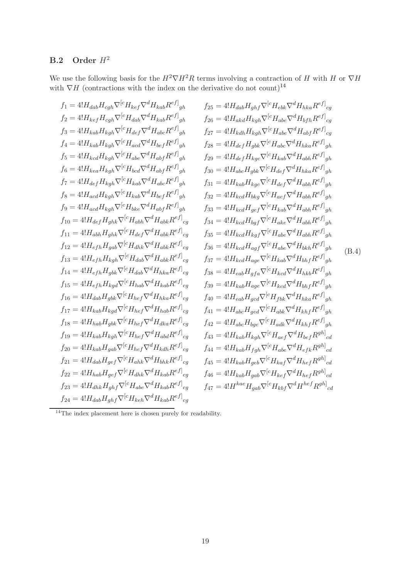# <span id="page-19-0"></span>**B.2** Order  $H^2$

We use the following basis for the  $H^2 \nabla H^2 R$  terms involving a contraction of H with H or  $\nabla H$ with  $\nabla H$  (contractions with the index on the derivative do not count)<sup>[14](#page-19-1)</sup>

$$
f_{1} = 4!H_{dab}H_{cgh}\nabla^{[c}H_{keb}\nabla^{d}H_{kab}R^{e\bar{f}}]_{gh}
$$
\n
$$
f_{25} = 4!H_{dab}H_{gib}\nabla^{[c}H_{cbi}\nabla^{d}H_{kba}R^{e\bar{f}}]_{gg}
$$
\n
$$
f_{26} = 4!H_{kab}H_{cgh}\nabla^{[c}H_{cbi}\nabla^{d}H_{kba}R^{e\bar{f}}]_{gg}
$$
\n
$$
f_{36} = 4!H_{kab}H_{kgh}\nabla^{[c}H_{cbi}\nabla^{d}H_{kabc}R^{e\bar{f}}]_{gh}
$$
\n
$$
f_{27} = 4!H_{kab}H_{kgh}\nabla^{[c}H_{dab}\nabla^{d}H_{dabc}R^{e\bar{f}}]_{gh}
$$
\n
$$
f_{27} = 4!H_{kab}H_{kgh}\nabla^{[c}H_{dab}\nabla^{d}H_{dbc}\nabla^{d}H_{hbc}R^{e\bar{f}}]_{gh}
$$
\n
$$
f_{28} = 4!H_{kcd}H_{kgh}\nabla^{[c}H_{dbc}\nabla^{d}H_{dbc}\nabla^{d}H_{g\bar{f}}R^{e\bar{f}}]_{gh}
$$
\n
$$
f_{29} = 4!H_{dcd}H_{kgb}\nabla^{[c}H_{dbc}\nabla^{d}H_{dbc}\nabla^{d}H_{dbc}\nabla^{d}H_{dbc}\nabla^{d}H_{dbc}\nabla^{d}H_{g\bar{f}}R^{e\bar{f}}]_{gh}
$$
\n
$$
f_{30} = 4!H_{dcd}H_{kgh}\nabla^{[c}H_{kab}\nabla^{d}H_{dab}\nabla^{e\bar{f}}]_{gh}
$$
\n
$$
f_{31} = 4!H_{kcd}H_{kgh}\nabla^{[c}H_{kab}\nabla^{d}H_{dab}\nabla^{e\bar{f}}]_{gh}
$$
\n
$$
f_{32} = 4!H_{kcd}H_{g\bar{g}}\nabla^{[c}H_{dab}\nabla^{d}H_{dab}\nabla^{e\bar{
$$

<span id="page-19-1"></span> $\rm ^{14}$  The index placement here is chosen purely for readability.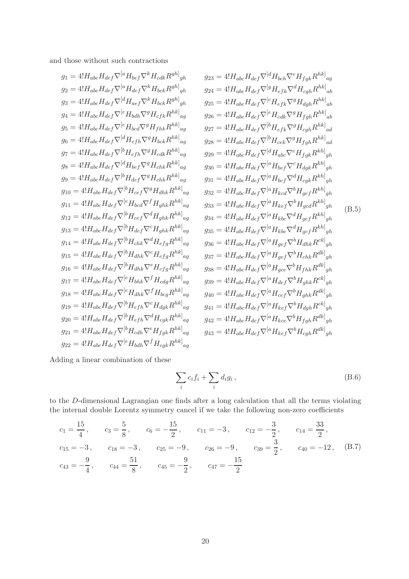and those without such contractions

$$
g_1 = 4!H_{abc}H_{def}\nabla^{[a}H_{bcf}\nabla^{k}H_{cck}R^{gh]}_{gh}
$$

$$
g_2 = 4!H_{abc}H_{def}\nabla^{[a}H_{bcf}\nabla^{k}H_{bck}R^{gh]}_{gh}
$$

$$
g_3 = 4!H_{abc}H_{def}\nabla^{[a}H_{def}\nabla^{k}H_{bck}R^{gh]}_{gh}
$$

$$
g_2 = 4!H_{abc}H_{def}\nabla^{[a}H_{def}\nabla^{k}H_{bck}R^{gh]}_{gh}
$$

$$
g_3 = 4!H_{abc}H_{def}\nabla^{[a}H_{def}\nabla^{k}H_{bck}R^{gh]}_{gh}
$$

$$
g_2 = 4!H_{abc}H_{def}\nabla^{[a}H_{bdf}\nabla^{g}H_{fdh}\nabla^{g}H_{cf}k^{hk}]_{ag}
$$

$$
g_3 = 4!H_{abc}H_{def}\nabla^{[e}H_{bdh}\nabla^{g}H_{fdh}R^{hk]}_{hg}
$$

$$
g_5 = 4!H_{abc}H_{def}\nabla^{[e}H_{bcf}\nabla^{g}H_{fdh}R^{hk]}_{hg}
$$

$$
g_6 = 4!H_{abc}H_{def}\nabla^{[a}H_{bcf}\nabla^{g}H_{fdh}R^{hk]}_{hg}
$$

$$
g_7 = 4!H_{abc}H_{def}\nabla^{[a}H_{efh}\nabla^{g}H_{def}R^{hk]}_{hg}
$$

$$
g_8 = 4!H_{abc}H_{def}\nabla^{[a}H_{efh}\nabla^{g}H_{chk}R^{hk]}_{hg}
$$

$$
g_9 = 4!H_{abc}H_{def}\nabla^{[a}H_{efh}\nabla^{g}H_{chk}R^{hk]}_{hg}
$$

$$
g_1 = 4!H_{abc}H_{def}\nabla^{[a}H_{efh}\nabla^{g}H_{chk}R^{hk]}_{hg}
$$

$$
g_2 = 4!H_{abc}H_{def}\nabla^{[a}H_{efh}\nabla^{g}H_{chk}R^{hk]}_{hg}
$$

$$
g_3 = 4!H_{abc}H_{def}\nabla^{[a}H_{def
$$

Adding a linear combination of these

$$
\sum_{i} c_i f_i + \sum_{i} d_i g_i , \qquad (B.6)
$$

to the D-dimensional Lagrangian one finds after a long calculation that all the terms violating the internal double Lorentz symmetry cancel if we take the following non-zero coefficients

$$
c_1 = \frac{15}{4}
$$
,  $c_3 = \frac{5}{8}$ ,  $c_6 = -\frac{15}{2}$ ,  $c_{11} = -3$ ,  $c_{12} = -\frac{3}{2}$ ,  $c_{14} = \frac{33}{2}$ ,  
\n $c_{15} = -3$ ,  $c_{18} = -3$ ,  $c_{25} = -9$ ,  $c_{26} = -9$ ,  $c_{39} = \frac{3}{2}$ ,  $c_{40} = -12$ , (B.7)  
\n $c_{43} = -\frac{9}{4}$ ,  $c_{44} = \frac{51}{8}$ ,  $c_{45} = -\frac{9}{2}$ ,  $c_{47} = -\frac{15}{2}$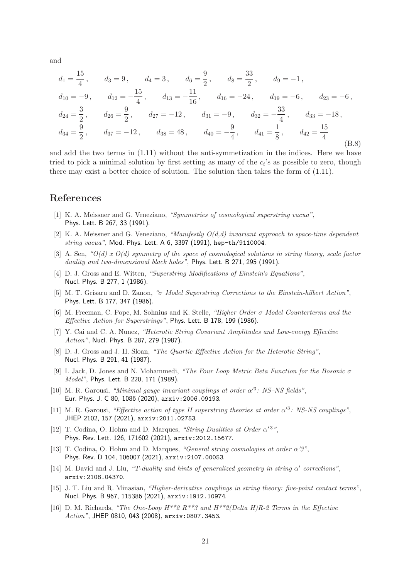and

$$
d_1 = \frac{15}{4}, \t d_3 = 9, \t d_4 = 3, \t d_6 = \frac{9}{2}, \t d_8 = \frac{33}{2}, \t d_9 = -1,
$$
  
\n
$$
d_{10} = -9, \t d_{12} = -\frac{15}{4}, \t d_{13} = -\frac{11}{16}, \t d_{16} = -24, \t d_{19} = -6, \t d_{23} = -6,
$$
  
\n
$$
d_{24} = \frac{3}{2}, \t d_{26} = \frac{9}{2}, \t d_{27} = -12, \t d_{31} = -9, \t d_{32} = -\frac{33}{4}, \t d_{33} = -18,
$$
  
\n
$$
d_{34} = \frac{9}{2}, \t d_{37} = -12, \t d_{38} = 48, \t d_{40} = -\frac{9}{4}, \t d_{41} = \frac{1}{8}, \t d_{42} = \frac{15}{4}
$$
  
\n(B.8)

and add the two terms in [\(1.11\)](#page-2-3) without the anti-symmetization in the indices. Here we have tried to pick a minimal solution by first setting as many of the  $c_i$ 's as possible to zero, though there may exist a better choice of solution. The solution then takes the form of [\(1.11\)](#page-2-3).

#### <span id="page-21-0"></span>References

- [1] K. A. Meissner and G. Veneziano, "Symmetries of cosmological superstring vacua", [Phys. Lett. B 267, 33 \(1991\)](http://dx.doi.org/10.1016/0370-2693(91)90520-Z).
- <span id="page-21-1"></span>[2] K. A. Meissner and G. Veneziano, "Manifestly  $O(d,d)$  invariant approach to space-time dependent  $string\ vacua$ ", [Mod. Phys. Lett. A 6, 3397 \(1991\)](http://dx.doi.org/10.1142/S0217732391003924), [hep-th/9110004](http://arxiv.org/abs/hep-th/9110004).
- <span id="page-21-2"></span>[3] A. Sen, " $O(d)$  x  $O(d)$  symmetry of the space of cosmological solutions in string theory, scale factor duality and two-dimensional black holes", [Phys. Lett. B 271, 295 \(1991\)](http://dx.doi.org/10.1016/0370-2693(91)90090-D).
- <span id="page-21-3"></span>[4] D. J. Gross and E. Witten, "Superstring Modifications of Einstein's Equations", [Nucl. Phys. B 277, 1 \(1986\)](http://dx.doi.org/10.1016/0550-3213(86)90429-3).
- <span id="page-21-4"></span>[5] M. T. Grisaru and D. Zanon, "σ Model Superstring Corrections to the Einstein-hilbert Action", [Phys. Lett. B 177, 347 \(1986\)](http://dx.doi.org/10.1016/0370-2693(86)90765-3).
- <span id="page-21-5"></span>[6] M. Freeman, C. Pope, M. Sohnius and K. Stelle, "Higher Order σ Model Counterterms and the Effective Action for Superstrings", [Phys. Lett. B 178, 199 \(1986\)](http://dx.doi.org/10.1016/0370-2693(86)91495-4).
- <span id="page-21-6"></span>[7] Y. Cai and C. A. Nunez, "Heterotic String Covariant Amplitudes and Low-energy Effective Action", [Nucl. Phys. B 287, 279 \(1987\)](http://dx.doi.org/10.1016/0550-3213(87)90106-4).
- <span id="page-21-7"></span>[8] D. J. Gross and J. H. Sloan, "The Quartic Effective Action for the Heterotic String", [Nucl. Phys. B 291, 41 \(1987\)](http://dx.doi.org/10.1016/0550-3213(87)90465-2).
- <span id="page-21-8"></span>[9] I. Jack, D. Jones and N. Mohammedi, "The Four Loop Metric Beta Function for the Bosonic σ Model", [Phys. Lett. B 220, 171 \(1989\)](http://dx.doi.org/10.1016/0370-2693(89)90031-2).
- <span id="page-21-9"></span>[10] M. R. Garousi, "Minimal gauge invariant couplings at order  $\alpha'^3$ : NS-NS fields", [Eur. Phys. J. C 80, 1086 \(2020\)](http://dx.doi.org/10.1140/epjc/s10052-020-08662-9), [arxiv:2006.09193](http://arxiv.org/abs/2006.09193).
- <span id="page-21-10"></span>[11] M. R. Garousi, "Effective action of type II superstring theories at order  $\alpha'^3$ : NS-NS couplings", [JHEP 2102, 157 \(2021\)](http://dx.doi.org/10.1007/JHEP02(2021)157), [arxiv:2011.02753](http://arxiv.org/abs/2011.02753).
- <span id="page-21-12"></span>[12] T. Codina, O. Hohm and D. Marques, "String Dualities at Order  $\alpha'^3$ ", [Phys. Rev. Lett. 126, 171602 \(2021\)](http://dx.doi.org/10.1103/PhysRevLett.126.171602), [arxiv:2012.15677](http://arxiv.org/abs/2012.15677).
- <span id="page-21-13"></span>[13] T. Codina, O. Hohm and D. Marques, "General string cosmologies at order α'3", [Phys. Rev. D 104, 106007 \(2021\)](http://dx.doi.org/10.1103/PhysRevD.104.106007), [arxiv:2107.00053](http://arxiv.org/abs/2107.00053).
- <span id="page-21-14"></span>[14] M. David and J. Liu, "T-duality and hints of generalized geometry in string α' corrections", [arxiv:2108.04370](http://arxiv.org/abs/2108.04370).
- <span id="page-21-11"></span>[15] J. T. Liu and R. Minasian, "Higher-derivative couplings in string theory: five-point contact terms", [Nucl. Phys. B 967, 115386 \(2021\)](http://dx.doi.org/10.1016/j.nuclphysb.2021.115386), [arxiv:1912.10974](http://arxiv.org/abs/1912.10974).
- <span id="page-21-15"></span>[16] D. M. Richards, "The One-Loop  $H^{**}2 R^{**}3$  and  $H^{**}2/Delta H)R-2$  Terms in the Effective Action", [JHEP 0810, 043 \(2008\)](http://dx.doi.org/10.1088/1126-6708/2008/10/043), [arxiv:0807.3453](http://arxiv.org/abs/0807.3453).